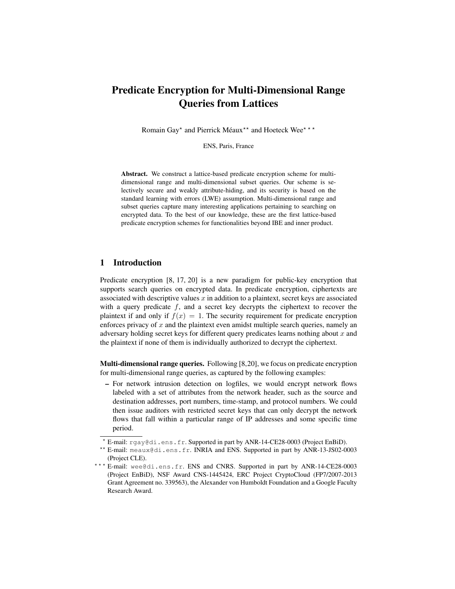# Predicate Encryption for Multi-Dimensional Range Queries from Lattices

Romain Gay\* and Pierrick Méaux<sup>\*\*</sup> and Hoeteck Wee<sup>\*\*\*</sup>

ENS, Paris, France

Abstract. We construct a lattice-based predicate encryption scheme for multidimensional range and multi-dimensional subset queries. Our scheme is selectively secure and weakly attribute-hiding, and its security is based on the standard learning with errors (LWE) assumption. Multi-dimensional range and subset queries capture many interesting applications pertaining to searching on encrypted data. To the best of our knowledge, these are the first lattice-based predicate encryption schemes for functionalities beyond IBE and inner product.

# 1 Introduction

Predicate encryption [8, 17, 20] is a new paradigm for public-key encryption that supports search queries on encrypted data. In predicate encryption, ciphertexts are associated with descriptive values  $x$  in addition to a plaintext, secret keys are associated with a query predicate  $f$ , and a secret key decrypts the ciphertext to recover the plaintext if and only if  $f(x) = 1$ . The security requirement for predicate encryption enforces privacy of  $x$  and the plaintext even amidst multiple search queries, namely an adversary holding secret keys for different query predicates learns nothing about  $x$  and the plaintext if none of them is individually authorized to decrypt the ciphertext.

Multi-dimensional range queries. Following [8,20], we focus on predicate encryption for multi-dimensional range queries, as captured by the following examples:

– For network intrusion detection on logfiles, we would encrypt network flows labeled with a set of attributes from the network header, such as the source and destination addresses, port numbers, time-stamp, and protocol numbers. We could then issue auditors with restricted secret keys that can only decrypt the network flows that fall within a particular range of IP addresses and some specific time period.

- \*\* E-mail: meaux@di.ens.fr. INRIA and ENS. Supported in part by ANR-13-JS02-0003 (Project CLE).
- \*\*\* E-mail: wee@di.ens.fr. ENS and CNRS. Supported in part by ANR-14-CE28-0003 (Project EnBiD), NSF Award CNS-1445424, ERC Project CryptoCloud (FP7/2007-2013 Grant Agreement no. 339563), the Alexander von Humboldt Foundation and a Google Faculty Research Award.

<sup>?</sup> E-mail: rgay@di.ens.fr. Supported in part by ANR-14-CE28-0003 (Project EnBiD).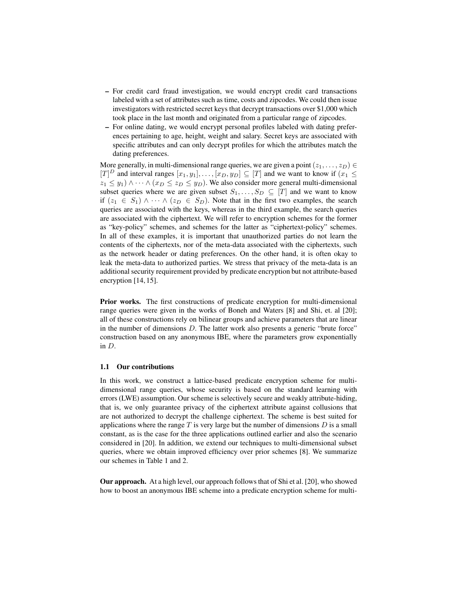- For credit card fraud investigation, we would encrypt credit card transactions labeled with a set of attributes such as time, costs and zipcodes. We could then issue investigators with restricted secret keys that decrypt transactions over \$1,000 which took place in the last month and originated from a particular range of zipcodes.
- For online dating, we would encrypt personal profiles labeled with dating preferences pertaining to age, height, weight and salary. Secret keys are associated with specific attributes and can only decrypt profiles for which the attributes match the dating preferences.

More generally, in multi-dimensional range queries, we are given a point  $(z_1, \ldots, z_D) \in$  $[T]^D$  and interval ranges  $[x_1, y_1], \ldots, [x_D, y_D] \subseteq [T]$  and we want to know if  $(x_1 \leq$  $z_1 \leq y_1$ )  $\wedge \cdots \wedge (x_D \leq z_D \leq y_D)$ . We also consider more general multi-dimensional subset queries where we are given subset  $S_1, \ldots, S_D \subseteq [T]$  and we want to know if  $(z_1 \in S_1) \wedge \cdots \wedge (z_n \in S_n)$ . Note that in the first two examples, the search queries are associated with the keys, whereas in the third example, the search queries are associated with the ciphertext. We will refer to encryption schemes for the former as "key-policy" schemes, and schemes for the latter as "ciphertext-policy" schemes. In all of these examples, it is important that unauthorized parties do not learn the contents of the ciphertexts, nor of the meta-data associated with the ciphertexts, such as the network header or dating preferences. On the other hand, it is often okay to leak the meta-data to authorized parties. We stress that privacy of the meta-data is an additional security requirement provided by predicate encryption but not attribute-based encryption [14, 15].

Prior works. The first constructions of predicate encryption for multi-dimensional range queries were given in the works of Boneh and Waters [8] and Shi, et. al [20]; all of these constructions rely on bilinear groups and achieve parameters that are linear in the number of dimensions  $D$ . The latter work also presents a generic "brute force" construction based on any anonymous IBE, where the parameters grow exponentially in D.

## 1.1 Our contributions

In this work, we construct a lattice-based predicate encryption scheme for multidimensional range queries, whose security is based on the standard learning with errors (LWE) assumption. Our scheme is selectively secure and weakly attribute-hiding, that is, we only guarantee privacy of the ciphertext attribute against collusions that are not authorized to decrypt the challenge ciphertext. The scheme is best suited for applications where the range  $T$  is very large but the number of dimensions  $D$  is a small constant, as is the case for the three applications outlined earlier and also the scenario considered in [20]. In addition, we extend our techniques to multi-dimensional subset queries, where we obtain improved efficiency over prior schemes [8]. We summarize our schemes in Table 1 and 2.

Our approach. At a high level, our approach follows that of Shi et al. [20], who showed how to boost an anonymous IBE scheme into a predicate encryption scheme for multi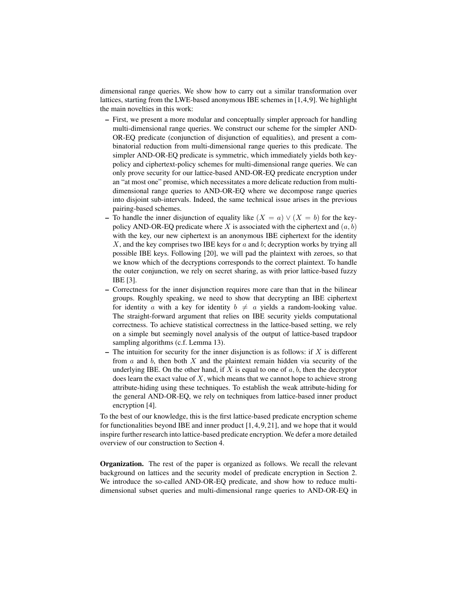dimensional range queries. We show how to carry out a similar transformation over lattices, starting from the LWE-based anonymous IBE schemes in [1,4,9]. We highlight the main novelties in this work:

- First, we present a more modular and conceptually simpler approach for handling multi-dimensional range queries. We construct our scheme for the simpler AND-OR-EQ predicate (conjunction of disjunction of equalities), and present a combinatorial reduction from multi-dimensional range queries to this predicate. The simpler AND-OR-EQ predicate is symmetric, which immediately yields both keypolicy and ciphertext-policy schemes for multi-dimensional range queries. We can only prove security for our lattice-based AND-OR-EQ predicate encryption under an "at most one" promise, which necessitates a more delicate reduction from multidimensional range queries to AND-OR-EQ where we decompose range queries into disjoint sub-intervals. Indeed, the same technical issue arises in the previous pairing-based schemes.
- To handle the inner disjunction of equality like  $(X = a) \vee (X = b)$  for the keypolicy AND-OR-EQ predicate where X is associated with the ciphertext and  $(a, b)$ with the key, our new ciphertext is an anonymous IBE ciphertext for the identity  $X$ , and the key comprises two IBE keys for  $a$  and  $b$ ; decryption works by trying all possible IBE keys. Following [20], we will pad the plaintext with zeroes, so that we know which of the decryptions corresponds to the correct plaintext. To handle the outer conjunction, we rely on secret sharing, as with prior lattice-based fuzzy IBE [3].
- Correctness for the inner disjunction requires more care than that in the bilinear groups. Roughly speaking, we need to show that decrypting an IBE ciphertext for identity a with a key for identity  $b \neq a$  yields a random-looking value. The straight-forward argument that relies on IBE security yields computational correctness. To achieve statistical correctness in the lattice-based setting, we rely on a simple but seemingly novel analysis of the output of lattice-based trapdoor sampling algorithms (c.f. Lemma 13).
- The intuition for security for the inner disjunction is as follows: if  $X$  is different from  $\alpha$  and  $\beta$ , then both  $X$  and the plaintext remain hidden via security of the underlying IBE. On the other hand, if X is equal to one of  $a, b$ , then the decryptor does learn the exact value of  $X$ , which means that we cannot hope to achieve strong attribute-hiding using these techniques. To establish the weak attribute-hiding for the general AND-OR-EQ, we rely on techniques from lattice-based inner product encryption [4].

To the best of our knowledge, this is the first lattice-based predicate encryption scheme for functionalities beyond IBE and inner product [1, 4, 9, 21], and we hope that it would inspire further research into lattice-based predicate encryption. We defer a more detailed overview of our construction to Section 4.

Organization. The rest of the paper is organized as follows. We recall the relevant background on lattices and the security model of predicate encryption in Section 2. We introduce the so-called AND-OR-EQ predicate, and show how to reduce multidimensional subset queries and multi-dimensional range queries to AND-OR-EQ in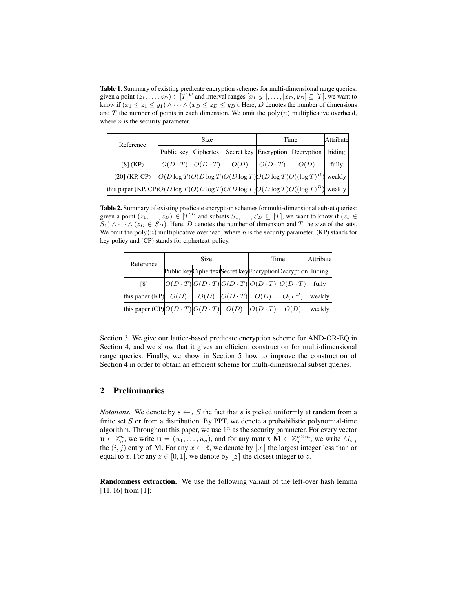Table 1. Summary of existing predicate encryption schemes for multi-dimensional range queries: given a point  $(z_1, \ldots, z_D) \in [T]^D$  and interval ranges  $[x_1, y_1], \ldots, [x_D, y_D] \subseteq [T]$ , we want to know if  $(x_1 \leq z_1 \leq y_1) \wedge \cdots \wedge (x_D \leq z_D \leq y_D)$ . Here, D denotes the number of dimensions and T the number of points in each dimension. We omit the  $poly(n)$  multiplicative overhead, where  $n$  is the security parameter.

| Reference                                                                                | <b>Size</b> |                                      |  | Time           |                                                                            | Attribute |
|------------------------------------------------------------------------------------------|-------------|--------------------------------------|--|----------------|----------------------------------------------------------------------------|-----------|
|                                                                                          |             |                                      |  |                | Public key   Ciphertext   Secret key   Encryption   Decryption             | hiding    |
| [8] (KP)                                                                                 |             | $O(D \cdot T)   O(D \cdot T)   O(D)$ |  | $O(D \cdot T)$ | O(D)                                                                       | fully     |
| $[20]$ (KP, CP)                                                                          |             |                                      |  |                | $ O(D \log T) O(D \log T) O(D \log T) O(D \log T) O((\log T)^{D}) $ weakly |           |
| this paper (KP, CP) $O(D \log T)O(D \log T)O(D \log T)O(D \log T)O((\log T)^{D})$ weakly |             |                                      |  |                |                                                                            |           |

Table 2. Summary of existing predicate encryption schemes for multi-dimensional subset queries: given a point  $(z_1, \ldots, z_D) \in [T]^D$  and subsets  $S_1, \ldots, S_D \subseteq [T]$ , we want to know if  $(z_1 \in$  $S_1$ )  $\wedge \cdots \wedge (z_D \in S_D)$ . Here, D denotes the number of dimension and T the size of the sets. We omit the  $poly(n)$  multiplicative overhead, where n is the security parameter. (KP) stands for key-policy and (CP) stands for ciphertext-policy.

| Reference                                                                   | Size |  |  | Time |                                                                      | Attribute |
|-----------------------------------------------------------------------------|------|--|--|------|----------------------------------------------------------------------|-----------|
|                                                                             |      |  |  |      | Public keyCiphertextSecret keyEncryptionDecryption hiding            |           |
| [8]                                                                         |      |  |  |      | $ O(D \cdot T) O(D \cdot T) O(D \cdot T) O(D \cdot T) O(D \cdot T) $ | fully     |
| this paper (KP) $O(D)$                                                      |      |  |  |      | $O(T^D)$                                                             | weakly    |
| this paper $(CP) O(D \cdot T) O(D \cdot T) $ $O(D)$ $ O(D \cdot T) $ $O(D)$ |      |  |  |      |                                                                      | weakly    |

Section 3. We give our lattice-based predicate encryption scheme for AND-OR-EQ in Section 4, and we show that it gives an efficient construction for multi-dimensional range queries. Finally, we show in Section 5 how to improve the construction of Section 4 in order to obtain an efficient scheme for multi-dimensional subset queries.

# 2 Preliminaries

*Notations.* We denote by  $s \leftarrow_R S$  the fact that s is picked uniformly at random from a finite set  $S$  or from a distribution. By PPT, we denote a probabilistic polynomial-time algorithm. Throughout this paper, we use  $1^n$  as the security parameter. For every vector  $\mathbf{u} \in \mathbb{Z}_q^n$ , we write  $\mathbf{u} = (u_1, \dots, u_n)$ , and for any matrix  $\mathbf{M} \in \mathbb{Z}_q^{n \times m}$ , we write  $M_{i,j}$ the  $(i, j)$  entry of M. For any  $x \in \mathbb{R}$ , we denote by  $\lfloor x \rfloor$  the largest integer less than or equal to x. For any  $z \in [0, 1]$ , we denote by  $|z|$  the closest integer to z.

Randomness extraction. We use the following variant of the left-over hash lemma [11, 16] from [1]: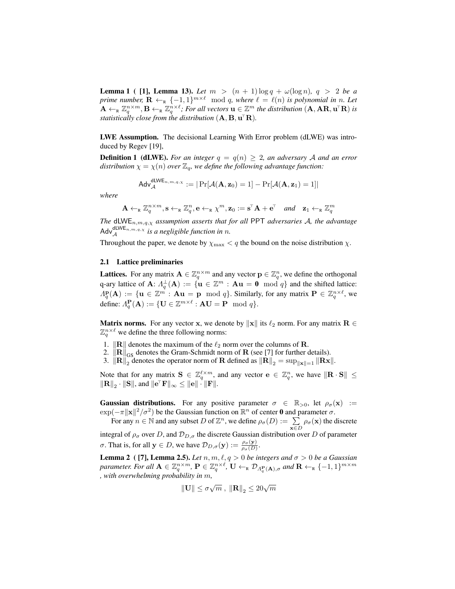**Lemma 1** ( [1], **Lemma 13**). Let  $m > (n + 1) \log q + \omega(\log n)$ ,  $q > 2$  be a *prime number,*  $\mathbf{R} \leftarrow_{\mathbb{R}} \{-1,1\}^{m \times \ell} \mod q$ , where  $\ell = \ell(n)$  *is polynomial in* n. Let  $\mathbf{A} \leftarrow_{\mathbb{R}} \mathbb{Z}_q^{n \times m}, \mathbf{B} \leftarrow_{\mathbb{R}} \mathbb{Z}_q^{n \times \ell}$ ; For all vectors  $\mathbf{u} \in \mathbb{Z}^m$  the distribution  $(\mathbf{A}, \mathbf{A}\mathbf{R}, \mathbf{u}^{\mathsf{T}}\mathbf{R})$  is *statistically close from the distribution*  $(A, B, u<sup>T</sup> R)$ *.* 

LWE Assumption. The decisional Learning With Error problem (dLWE) was introduced by Regev [19],

**Definition 1 (dLWE).** For an integer  $q = q(n) \geq 2$ , an adversary A and an error *distribution*  $\chi = \chi(n)$  *over*  $\mathbb{Z}_q$ *, we define the following advantage function:* 

$$
\mathsf{Adv}_{\mathcal{A}}^{\mathsf{dlWE}_{n,m,q,\chi}} := |\Pr[\mathcal{A}(\mathbf{A}, \mathbf{z}_0) = 1] - \Pr[\mathcal{A}(\mathbf{A}, \mathbf{z}_1) = 1]|
$$

*where*

$$
\mathbf{A} \leftarrow_R \mathbb{Z}_q^{n \times m}, \mathbf{s} \leftarrow_R \mathbb{Z}_q^n, \mathbf{e} \leftarrow_R \chi^m, \mathbf{z}_0 := \mathbf{s}^{\!\top} \mathbf{A} + \mathbf{e}^{\!\top} \quad \text{and} \quad \mathbf{z}_1 \leftarrow_R \mathbb{Z}_q^m
$$

*The* dLWEn,m,q,χ *assumption asserts that for all* PPT *adversaries* A*, the advantage*  $\mathsf{Adv}_{\mathcal{A}}^{\mathsf{dLWE}_{n,m,q,\chi}}$  is a negligible function in  $n$ .

Throughout the paper, we denote by  $\chi_{\text{max}} < q$  the bound on the noise distribution  $\chi$ .

#### 2.1 Lattice preliminaries

**Lattices.** For any matrix  $A \in \mathbb{Z}_q^{n \times m}$  and any vector  $p \in \mathbb{Z}_q^n$ , we define the orthogonal q-ary lattice of **A**:  $\Lambda_q^{\perp}(\mathbf{A}) := \{ \mathbf{u} \in \mathbb{Z}^m : \mathbf{A}\mathbf{u} = \mathbf{0} \mod q \}$  and the shifted lattice:  $A_q^{\mathbf{p}}(\mathbf{A}) := \{ \mathbf{u} \in \mathbb{Z}^m : \mathbf{A}\mathbf{u} = \mathbf{p} \mod q \}$ . Similarly, for any matrix  $\mathbf{P} \in \mathbb{Z}_q^{n \times \ell}$ , we define:  $\Lambda_q^{\mathbf{P}}(\mathbf{A}) := \{ \mathbf{U} \in \mathbb{Z}^{m \times \ell} : \mathbf{A}\mathbf{U} = \mathbf{P} \mod q \}.$ 

**Matrix norms.** For any vector x, we denote by  $\|\mathbf{x}\|$  its  $\ell_2$  norm. For any matrix  $\mathbf{R} \in$  $\mathbb{Z}_q^{n\times\ell}$  we define the three following norms:

- 1.  $\|\mathbf{R}\|$  denotes the maximum of the  $\ell_2$  norm over the columns of **R**.
- 2.  $\|\mathbf{R}\|_{\text{GS}}$  denotes the Gram-Schmidt norm of R (see [7] for further details).
- 3.  $\|\mathbf{R}\|_2$  denotes the operator norm of  $\mathbf R$  defined as  $\|\mathbf{R}\|_2 = \sup_{\|\mathbf{x}\| = 1} \|\mathbf{R}\mathbf{x}\|.$

Note that for any matrix  $S \in \mathbb{Z}_q^{\ell \times m}$ , and any vector  $e \in \mathbb{Z}_q^n$ , we have  $\|\mathbf{R} \cdot \mathbf{S}\| \leq$  $\|\mathbf{R}\|_2 \cdot \|\mathbf{S}\|$ , and  $\|\mathbf{e}^\top \mathbf{F}\|_{\infty} \leq \|\mathbf{e}\| \cdot \|\mathbf{F}\|.$ 

**Gaussian distributions.** For any positive parameter  $\sigma \in \mathbb{R}_{>0}$ , let  $\rho_{\sigma}(\mathbf{x}) :=$  $\exp(-\pi ||\mathbf{x}||^2 / \sigma^2)$  be the Gaussian function on  $\mathbb{R}^n$  of center 0 and parameter  $\sigma$ .

For any  $n \in \mathbb{N}$  and any subset D of  $\mathbb{Z}^n$ , we define  $\rho_{\sigma}(D) := \sum_{\mathbf{x} \in D} \rho_{\sigma}(\mathbf{x})$  the discrete

integral of  $\rho_{\sigma}$  over D, and  $\mathcal{D}_{D,\sigma}$  the discrete Gaussian distribution over D of parameter *σ*. That is, for all  $y \in D$ , we have  $\mathcal{D}_{D,\sigma}(y) := \frac{\rho_{\sigma}(y)}{\rho_{\sigma}(D)}$ .

**Lemma 2** ( [7], **Lemma 2.5**). *Let*  $n, m, \ell, q > 0$  *be integers and*  $\sigma > 0$  *be a Gaussian parameter. For all*  $\mathbf{A} \in \mathbb{Z}_q^{n \times m}$ ,  $\mathbf{P} \in \mathbb{Z}_q^{n \times \ell}$ ,  $\mathbf{U} \leftarrow_R \mathcal{D}_{A_q^{\mathbf{P}}(\mathbf{A}), \sigma}$  and  $\mathbf{R} \leftarrow_R \{-1, 1\}^{m \times m}$ *, with overwhelming probability in* m*,*

$$
\|\mathbf{U}\| \leq \sigma\sqrt{m} , \|\mathbf{R}\|_2 \leq 20\sqrt{m}
$$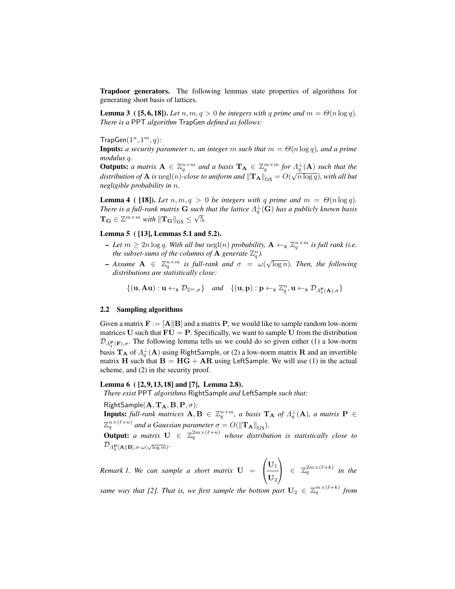Trapdoor generators. The following lemmas state properties of algorithms for generating short basis of lattices.

**Lemma 3** ( [5, 6, 18]). Let  $n, m, q > 0$  be integers with q prime and  $m = \Theta(n \log q)$ . *There is a* PPT *algorithm* TrapGen *defined as follows:*

 $\mathsf{TrapGen}(1^n,1^m,q)$ :

**Inputs:** *a security parameter n, an integer m such that*  $m = \Theta(n \log q)$ *, and a prime modulus* q*.*

**Outputs:** *a matrix*  $\mathbf{A} \in \mathbb{Z}_q^{n \times m}$  *and a basis*  $\mathbf{T_A} \in \mathbb{Z}_q^{m \times m}$  for  $\Lambda_q^{\perp}(\mathbf{A})$  such that the distribution of  ${\bf A}$  is  ${\rm negl}(n)$ -close to uniform and  ${\left\| {{{\bf{T}}_{{\bf A}}}} \right\|_{\rm GS} = O(\sqrt{n\log q}),$  with all but *negligible probability in* n*.*

**Lemma 4** ( [18]). Let  $n, m, q > 0$  be integers with q prime and  $m = \Theta(n \log q)$ . *There is a full-rank matrix* **G** such that the lattice  $\Lambda_q^{\perp}(\mathbf{G})$  has a publicly known basis  $\mathbf{T_G} \in \mathbb{Z}^{m \times m}$  with  $\left\| \mathbf{T_G} \right\|_{\text{GS}} \leq \sqrt{5}$ .

# Lemma 5 ( [13], Lemmas 5.1 and 5.2).

- $I$  *Let*  $m ≥ 2n log q$ *. With all but* negl(n) *probability*,  $A ← R \mathbb{Z}_q^{n×m}$  *is full rank (i.e.* the subset-sums of the columns of  $\mathbf{A}$  generate  $\mathbb{Z}_q^n$ ).
- $-$  *Assume* **A** ∈  $\mathbb{Z}_q^{n \times m}$  *is full-rank and*  $\sigma = \omega(\sqrt{\log n})$ *. Then, the following distributions are statistically close:*

 $\{(\mathbf{u}, \mathbf{A}\mathbf{u}) : \mathbf{u} \leftarrow_R \mathcal{D}_{\mathbb{Z}^m, \sigma}\}$  and  $\{(\mathbf{u}, \mathbf{p}) : \mathbf{p} \leftarrow_R \mathbb{Z}_q^n, \mathbf{u} \leftarrow_R \mathcal{D}_{\Lambda_q^{\mathbf{p}}(\mathbf{A}), \sigma}\}$ 

## 2.2 Sampling algorithms

Given a matrix  $\mathbf{F} := [\mathbf{A} || \mathbf{B}]$  and a matrix P, we would like to sample random low-norm matrices U such that  $FU = P$ . Specifically, we want to sample U from the distribution  $\mathcal{D}_{A_q^{\mathbf{P}}(\mathbf{F}),\sigma}$ . The following lemma tells us we could do so given either (1) a low-norm basis  ${\bf T_A}$  of  $\varLambda_q^\perp({\bf A})$  using RightSample, or (2) a low-norm matrix  ${\bf R}$  and an invertible matrix H such that  $B = HG + AR$  using LeftSample. We will use (1) in the actual scheme, and (2) in the security proof.

# Lemma 6 ( [2, 9, 13, 18] and [7], Lemma 2.8).

*There exist* PPT *algorithms* RightSample *and* LeftSample *such that:*

RightSample(A, TA, B, P, σ)*:*

**Inputs:** full-rank matrices  $\mathbf{A}, \mathbf{B} \in \mathbb{Z}_q^{n \times m}$ , a basis  $\mathbf{T}_\mathbf{A}$  of  $\Lambda_q^{\perp}(\mathbf{A})$ , a matrix  $\mathbf{P} \in$  $\mathbb{Z}_q^{n\times (\ell+n)}$  and a Gaussian parameter  $\sigma = O(\|\mathbf{T_A}\|_{\text{GS}})$ .

**Output:** a matrix  $U \in \mathbb{Z}_q^{2m \times (\ell+n)}$  whose distribution is statistically close to  $\mathcal{D}_{\Lambda^{\mathbf{P}}_q[\mathbf{A}\|\mathbf{B}],\sigma\cdot\omega(\sqrt{\log m})}.$ 

*Remark 1. We can sample a short matrix* U =  $\sqrt{ }$  $\mathcal{L}$  $\mathbf{U}_1$  $\mathbf{U}_2$  $\setminus$  $\left\{\begin{array}{rcl}\in & \mathbb{Z}_q^{2m\times (\ell+k)} \text{ in the } \end{array}\right.$ 

same way that [2]. That is, we first sample the bottom part  $\mathbf{U}_2 \in \mathbb{Z}_q^{m \times (\ell + k)}$  from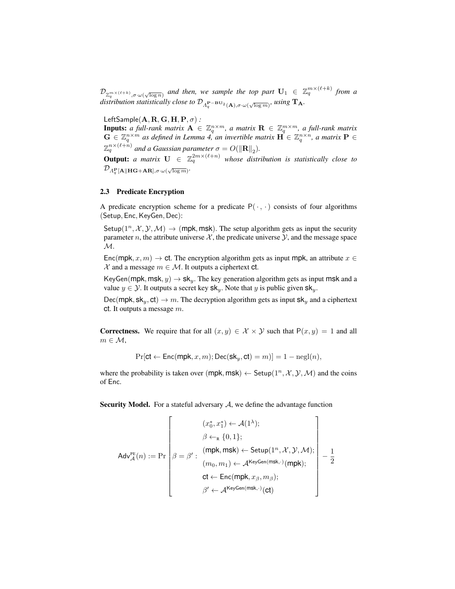$\mathcal{D}_{\mathbb{Z}_q^{m\times (\ell+k)},\sigma\cdot \omega(\sqrt{\log n})}$  and then, we sample the top part  $\mathbf{U}_1\ \in\ \mathbb{Z}_q^{m\times (\ell+k)}$  from a *distribution statistically close to*  $\mathcal{D}_{\Lambda_q^{\mathbf{P}-\mathbf{B}\mathbf{U}_2}(\mathbf{A}),\sigma\cdot\omega(\sqrt{\log m})}$ *, using*  $\mathbf{T}_\mathbf{A}$ *.* 

LeftSample( $A, R, G, H, P, \sigma$ ) :

**Inputs:** a full-rank matrix  $\mathbf{A} \in \mathbb{Z}_q^{n \times m}$ , a matrix  $\mathbf{R} \in \mathbb{Z}_q^{m \times m}$ , a full-rank matrix  $G \in \mathbb{Z}_q^{n \times m}$  as defined in Lemma 4, an invertible matrix  $\mathbf{H} \in \mathbb{Z}_q^{n \times n}$ , a matrix  $\mathbf{P} \in$  $\mathbb{Z}_q^{n\times (\ell+n)}$  and a Gaussian parameter  $\sigma = O(||\mathbf{R}||_2)$ .

**Output:** a matrix  $U \in \mathbb{Z}_q^{2m \times (\ell+n)}$  whose distribution is statistically close to  $\mathcal{D}_{A^{\mathbf{P}}_q[\mathbf{A}\|\mathbf{H}\mathbf{G}+\mathbf{A}\mathbf{R}],\sigma\cdot\omega(\sqrt{\log m})}.$ 

### 2.3 Predicate Encryption

A predicate encryption scheme for a predicate  $P(\cdot, \cdot)$  consists of four algorithms (Setup, Enc, KeyGen, Dec):

Setup( $1^n, \mathcal{X}, \mathcal{Y}, \mathcal{M}$ )  $\rightarrow$  (mpk, msk). The setup algorithm gets as input the security parameter n, the attribute universe  $\mathcal{X}$ , the predicate universe  $\mathcal{Y}$ , and the message space  $\mathcal{M}.$ 

Enc(mpk,  $x, m$ )  $\rightarrow$  ct. The encryption algorithm gets as input mpk, an attribute  $x \in$  $X$  and a message  $m \in \mathcal{M}$ . It outputs a ciphertext ct.

KeyGen(mpk, msk,  $y$ )  $\rightarrow$  sk<sub>y</sub>. The key generation algorithm gets as input msk and a value  $y \in \mathcal{Y}$ . It outputs a secret key  $sk_y$ . Note that y is public given  $sk_y$ .

 $Dec(mpk, sk_y, ct) \rightarrow m$ . The decryption algorithm gets as input  $sk_y$  and a ciphertext ct. It outputs a message m.

**Correctness.** We require that for all  $(x, y) \in \mathcal{X} \times \mathcal{Y}$  such that  $P(x, y) = 1$  and all  $m \in \mathcal{M}$ ,

 $Pr[\text{ct} \leftarrow Enc(mpk, x, m); Dec(\text{sk}_u, \text{ct}) = m)] = 1 - negl(n),$ 

where the probability is taken over  $(\text{mpk}, \text{msk}) \leftarrow \text{Setup}(1^n, \mathcal{X}, \mathcal{Y}, \mathcal{M})$  and the coins of Enc.

**Security Model.** For a stateful adversary  $A$ , we define the advantage function

$$
\mathsf{Adv}_{\mathcal{A}}^{\mathrm{PE}}(n) := \Pr\left[\beta = \beta': \begin{bmatrix} (x_0^*, x_1^*) \leftarrow \mathcal{A}(1^\lambda); \\ \beta \leftarrow_{\mathsf{R}} \{0, 1\}; \\ & (\mathsf{mpk}, \mathsf{msk}) \leftarrow \mathsf{Setup}(1^n, \mathcal{X}, \mathcal{Y}, \mathcal{M}); \\ & (m_0, m_1) \leftarrow \mathcal{A}^{\mathsf{KeyGen}(\mathsf{msk}, \cdot)}(\mathsf{mpk}); \\ & \mathsf{ct} \leftarrow \mathsf{Enc}(\mathsf{mpk}, x_\beta, m_\beta); \\ & \beta' \leftarrow \mathcal{A}^{\mathsf{KeyGen}(\mathsf{msk}, \cdot)}(\mathsf{ct}) \end{bmatrix} - \frac{1}{2} \right. \right]
$$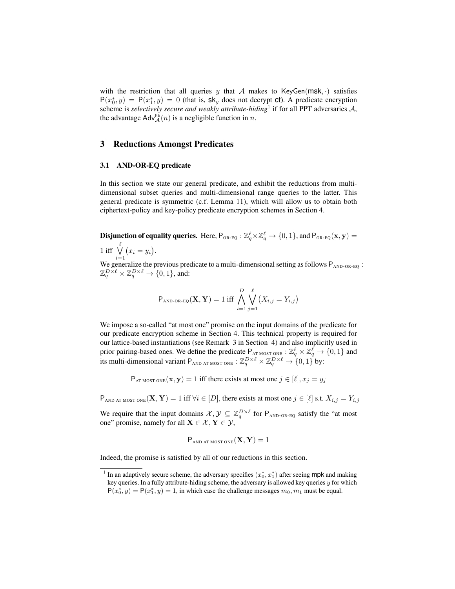with the restriction that all queries y that A makes to KeyGen(msk,  $\cdot$ ) satisfies  $P(x_0^*, y) = P(x_1^*, y) = 0$  (that is,  $\mathsf{sk}_y$  does not decrypt ct). A predicate encryption scheme is *selectively secure and weakly attribute-hiding*<sup>1</sup> if for all PPT adversaries A, the advantage  $\mathsf{Adv}_{\mathcal{A}}^{\mathsf{PE}}(n)$  is a negligible function in n.

# 3 Reductions Amongst Predicates

#### 3.1 AND-OR-EQ predicate

In this section we state our general predicate, and exhibit the reductions from multidimensional subset queries and multi-dimensional range queries to the latter. This general predicate is symmetric (c.f. Lemma 11), which will allow us to obtain both ciphertext-policy and key-policy predicate encryption schemes in Section 4.

**Disjunction of equality queries.** Here,  $P_{\text{OR-EQ}}: \mathbb{Z}_q^\ell \times \mathbb{Z}_q^\ell \to \{0,1\}$ , and  $P_{\text{OR-EQ}}(\mathbf{x},\mathbf{y}) =$ 

1 iff  $\bigvee^{\ell} (x_i = y_i).$ 

 $i=1$ <br>We generalize the previous predicate to a multi-dimensional setting as follows P<sub>AND-OR-EQ</sub> :  $\mathbb{Z}_q^{D \times \ell} \times \mathbb{Z}_q^{D \times \ell} \to \{0, 1\}$ , and:

$$
\mathsf{P}_{\text{AND-OR-EQ}}(\mathbf{X}, \mathbf{Y}) = 1 \text{ iff } \bigwedge_{i=1}^{D} \bigvee_{j=1}^{\ell} \left( X_{i,j} = Y_{i,j} \right)
$$

We impose a so-called "at most one" promise on the input domains of the predicate for our predicate encryption scheme in Section 4. This technical property is required for our lattice-based instantiations (see Remark 3 in Section 4) and also implicitly used in prior pairing-based ones. We define the predicate  $P_{AT\text{ MOST ONE}} : \mathbb{Z}_q^{\ell} \times \mathbb{Z}_q^{\overline{\ell}} \to \{0, 1\}$  and its multi-dimensional variant  $P_{AND AT MOST ONE}$ :  $\mathbb{Z}_q^{D\times \ell} \times \mathbb{Z}_q^{D\times \ell} \to \{0,1\}$  by:

 $P_{AT MOST ONE}(\mathbf{x}, \mathbf{y}) = 1$  iff there exists at most one  $j \in [\ell], x_j = y_j$ 

 $P_{AND AT MOST ONE}(\mathbf{X}, \mathbf{Y}) = 1$  iff  $\forall i \in [D]$ , there exists at most one  $j \in [\ell]$  s.t.  $X_{i,j} = Y_{i,j}$ 

We require that the input domains  $X, Y \subseteq \mathbb{Z}_q^{D \times \ell}$  for  $P_{AND-OR-EQ}$  satisfy the "at most one" promise, namely for all  $X \in \mathcal{X}, Y \in \mathcal{Y}$ ,

$$
P_{\text{and at most one}}(\mathbf{X}, \mathbf{Y}) = 1
$$

Indeed, the promise is satisfied by all of our reductions in this section.

<sup>&</sup>lt;sup>1</sup> In an adaptively secure scheme, the adversary specifies  $(x_0^*, x_1^*)$  after seeing mpk and making key queries. In a fully attribute-hiding scheme, the adversary is allowed key queries  $y$  for which  $P(x_0^*, y) = P(x_1^*, y) = 1$ , in which case the challenge messages  $m_0, m_1$  must be equal.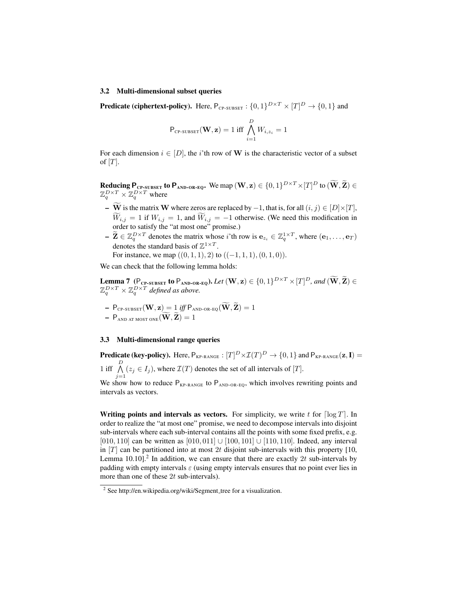#### 3.2 Multi-dimensional subset queries

**Predicate (ciphertext-policy).** Here,  $P_{CP\text{-SUBSET}}: \{0, 1\}^{D \times T} \times [T]^D \rightarrow \{0, 1\}$  and

$$
P_{\text{CP-SUBSET}}(\mathbf{W}, \mathbf{z}) = 1 \text{ iff } \bigwedge_{i=1}^{D} W_{i, z_i} = 1
$$

For each dimension  $i \in [D]$ , the i'th row of W is the characteristic vector of a subset of  $|T|$ .

Reducing  ${\bf P}_{\text{CP-SUBSET}}$  to  ${\bf P}_{\text{AND-OR-EQ}}$ . We map  $({\bf W},{\bf z}) \in \{0,1\}^{D \times T} \times [T]^D$  to  $(\tilde{\bf W}, \tilde{\bf Z}) \in \mathbb{Z}_q^{D \times T} \times \mathbb{Z}_q^{D \times T}$  where

- $\widetilde{\mathbf{W}}$  is the matrix W where zeros are replaced by –1, that is, for all  $(i, j) \in [D] \times [T]$ ,  $\widetilde{W}_{i,j} = 1$  if  $W_{i,j} = 1$ , and  $\widetilde{W}_{i,j} = -1$  otherwise. (We need this modification in order to satisfy the "at most one" promise.)
- $-\widetilde{\mathbf{Z}} \in \mathbb{Z}_q^{D \times T}$  denotes the matrix whose *i*'th row is  $\mathbf{e}_{z_i} \in \mathbb{Z}_q^{1 \times T}$ , where  $(\mathbf{e}_1, \dots, \mathbf{e}_T)$ denotes the standard basis of  $\mathbb{Z}^{1 \times T}$ .

For instance, we map  $((0, 1, 1), 2)$  to  $((-1, 1, 1), (0, 1, 0)).$ 

We can check that the following lemma holds:

**Lemma 7** ( $P_{\text{CP-SUBSET}}$  to  $P_{\text{AND-OR-EQ}}$ ). Let  $(\mathbf{W}, \mathbf{z}) \in \{0, 1\}^{D \times T} \times [T]^D$ , and  $(\mathbf{W}, \mathbf{Z}) \in$  $\mathbb{Z}_q^{D\times T}\times\mathbb{Z}_q^{D\times T}$  defined as above.

 $P_{\text{CP-SUBSET}}(\mathbf{W}, \mathbf{z}) = 1$  *iff*  $P_{\text{AND-OR-EO}}(\widetilde{\mathbf{W}}, \widetilde{\mathbf{Z}}) = 1$  $-P_{AND AT MOST ONE}(\widetilde{\mathbf{W}}, \widetilde{\mathbf{Z}})=1$ 

# 3.3 Multi-dimensional range queries

**Predicate (key-policy).** Here,  $P_{\text{\tiny KP-RANGE}} : [T]^D \times \mathcal{I}(T)^D \to \{0,1\}$  and  $P_{\text{\tiny KP-RANGE}}(\mathbf{z}, \mathbf{I}) =$ 1 iff  $\bigwedge^D (z_j \in I_j)$ , where  $\mathcal{I}(T)$  denotes the set of all intervals of  $[T]$ .

 $j=1$ <br>We show how to reduce  $P_{KP-RANGE}$  to  $P_{AND-OR-EQ}$ , which involves rewriting points and intervals as vectors.

Writing points and intervals as vectors. For simplicity, we write t for  $\lceil \log T \rceil$ . In order to realize the "at most one" promise, we need to decompose intervals into disjoint sub-intervals where each sub-interval contains all the points with some fixed prefix, e.g. [010, 110] can be written as [010, 011] ∪ [100, 101] ∪ [110, 110]. Indeed, any interval in  $[T]$  can be partitioned into at most 2t disjoint sub-intervals with this property [10, Lemma 10.10].<sup>2</sup> In addition, we can ensure that there are exactly 2t sub-intervals by padding with empty intervals  $\varepsilon$  (using empty intervals ensures that no point ever lies in more than one of these  $2t$  sub-intervals).

 $2$  See http://en.wikipedia.org/wiki/Segment\_tree for a visualization.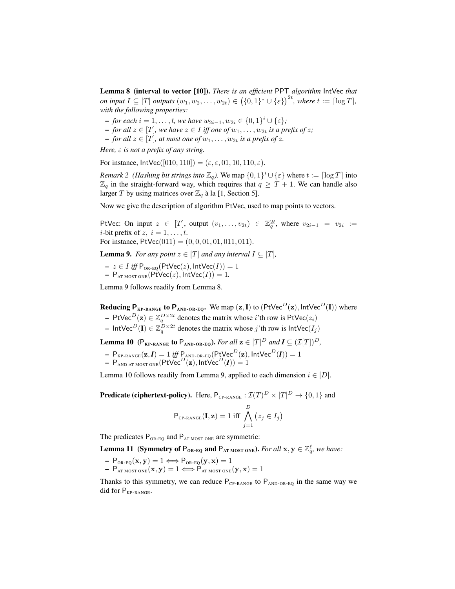Lemma 8 (interval to vector [10]). *There is an efficient* PPT *algorithm* IntVec *that on input*  $I \subseteq [T]$  *outputs*  $(w_1, w_2, \ldots, w_{2t}) \in (\{0, 1\}^* \cup \{\varepsilon\})^{2t}$ , where  $t := \lceil \log T \rceil$ , *with the following properties:*

- $\text{-}$  *for each*  $i = 1, \ldots, t$ *, we have*  $w_{2i-1}, w_{2i} \in \{0, 1\}^i \cup \{\varepsilon\}$ *;*
- *− for all*  $z \in [T]$ *, we have*  $z \in I$  *iff one of*  $w_1, \ldots, w_{2t}$  *is a prefix of*  $z$ *;*
- $\mathbf{I}$   *for all*  $z \in [T]$ *, at most one of*  $w_1, \ldots, w_{2t}$  *is a prefix of* z.

*Here,* ε *is not a prefix of any string.*

For instance,  $IntVec([010, 110]) = (\varepsilon, \varepsilon, 01, 10, 110, \varepsilon).$ 

*Remark 2 (Hashing bit strings into*  $\mathbb{Z}_q$ ). We map  $\{0,1\}^t \cup \{\varepsilon\}$  where  $t := \lceil \log T \rceil$  into  $\mathbb{Z}_q$  in the straight-forward way, which requires that  $q \geq T + 1$ . We can handle also larger T by using matrices over  $\mathbb{Z}_q$  à la [1, Section 5].

Now we give the description of algorithm PtVec, used to map points to vectors.

PtVec: On input  $z \in [T]$ , output  $(v_1, \ldots, v_{2t}) \in \mathbb{Z}_q^{2t}$ , where  $v_{2i-1} = v_{2i} :=$ *i*-bit prefix of z,  $i = 1, \ldots, t$ . For instance,  $PtVec(011) = (0, 0, 01, 01, 011, 011)$ .

**Lemma 9.** *For any point*  $z \in [T]$  *and any interval*  $I \subseteq [T]$ *,* 

 $-z \in I$  *iff*  $P_{OR-EO}(PtVec(z), IntVec(I)) = 1$  $-$  P<sub>AT MOST ONE</sub> (PtVec(*z*),  $IntVec(I)) = 1$ .

Lemma 9 follows readily from Lemma 8.

**Reducing P<sub>KP-RANGE</sub>** to P<sub>AND-OR-EQ. We map (z, I) to (PtVec<sup>D</sup>(z), IntVec<sup>D</sup>(I)) where</sub>

- PtVec $P(z) \in \mathbb{Z}_q^{D \times 2t}$  denotes the matrix whose *i*'th row is PtVec $(z_i)$
- IntVec $C^D(I) \in \mathbb{Z}_q^{D \times 2t}$  denotes the matrix whose j'th row is IntVec $(I_j)$

**Lemma 10** ( $P_{KP\text{-}RANGE}$  to  $P_{AND\text{-}OR\text{-}EQ}$ ). *For all*  $\mathbf{z} \in [T]^D$  and  $\mathbf{I} \subseteq (\mathcal{I}[T])^D$ ,

- $-P_{\text{\tiny KP-RANGE}}(\mathbf{z}, \boldsymbol{I}) = 1$  *iff*  $P_{\text{\tiny AND-OR-EQ}}(\mathsf{PtVec}^D(\mathbf{z}), \mathsf{IntVec}^D(\boldsymbol{I})) = 1$
- $-P_{\text{AND AT MOST ONE}}(PtVec^{D}(z), IntVec^{D}(I)) = 1$

Lemma 10 follows readily from Lemma 9, applied to each dimension  $i \in [D]$ .

**Predicate (ciphertext-policy).** Here,  $P_{\text{CP-RANGE}} : \mathcal{I}(T)^D \times [T]^D \rightarrow \{0, 1\}$  and

$$
P_{\text{CP-RANGE}}(\mathbf{I}, \mathbf{z}) = 1 \text{ iff } \bigwedge_{j=1}^{D} (z_j \in I_j)
$$

The predicates  $P_{OR-EQ}$  and  $P_{AT MOST ONE}$  are symmetric:

**Lemma 11** (Symmetry of  $P_{OR-EQ}$  and  $P_{AT MOST ONE}$ ). *For all*  $x, y \in \mathbb{Z}_q^{\ell}$ , we have:

$$
\begin{array}{l} \textbf{- P}_{\text{OR-EQ}}(\textbf{x}, \textbf{y}) = 1 \Longleftrightarrow P_{\text{OR-EQ}}(\textbf{y}, \textbf{x}) = 1 \\ \textbf{- P}_{\text{AT MOST ONE}}(\textbf{x}, \textbf{y}) = 1 \Longleftrightarrow P_{\text{AT MOST ONE}}(\textbf{y}, \textbf{x}) = 1 \end{array}
$$

Thanks to this symmetry, we can reduce  $P_{CP-RANGE}$  to  $P_{AND-OR-EQ}$  in the same way we did for  $P_{KP-RANGE}$ .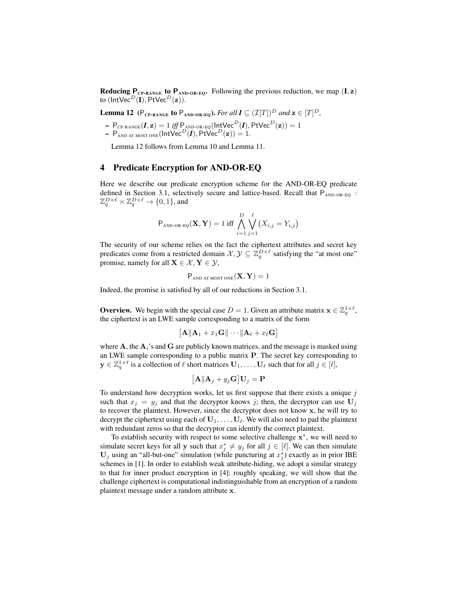**Reducing P<sub>CP-RANGE</sub>** to P<sub>AND-OR-EQ. Following the previous reduction, we map  $(I, z)$ </sub> to (IntVec<sup>D</sup>(I), PtVec<sup>D</sup>(z)).

**Lemma 12** ( $P_{\text{CP-RANGE}}$  to  $P_{\text{AND-OR-EQ}}$ ). *For all*  $I \subseteq (\mathcal{I}[T])^D$  *and*  $\mathbf{z} \in [T]^D$ ,

 $-P_{\text{\tiny{CP-RANGE}}}(I,\mathbf{z})=1$  *iff*  $P_{\text{\tiny{AND-OR-EQ}}}(\text{\small{IntVec}}^D(I), \text{\small{PtVec}}^D(\mathbf{z}))=1$  $-P_{\text{AND AT MOST ONE}}(\text{IntVec}^D(\boldsymbol{I}), \text{PtVec}^D(\mathbf{z})) = 1.$ 

Lemma 12 follows from Lemma 10 and Lemma 11.

# 4 Predicate Encryption for AND-OR-EQ

Here we describe our predicate encryption scheme for the AND-OR-EQ predicate defined in Section 3.1, selectively secure and lattice-based. Recall that  $P_{AND-OR-EO}$ :  $\mathbb{Z}_q^{D\times\ell}\times\mathbb{Z}_q^{D\times\ell}\to\{0,1\}$ , and

$$
P_{AND-OR-EQ}(\mathbf{X}, \mathbf{Y}) = 1 \text{ iff } \bigwedge_{i=1}^{D} \bigvee_{j=1}^{\ell} \left( X_{i,j} = Y_{i,j} \right)
$$

The security of our scheme relies on the fact the ciphertext attributes and secret key predicates come from a restricted domain  $X, Y \subseteq \mathbb{Z}_q^{D \times \ell}$  satisfying the "at most one" promise, namely for all  $X \in \mathcal{X}, Y \in \mathcal{Y}$ ,

$$
\mathsf{P}_{\text{and at most one}}(\mathbf{X}, \mathbf{Y}) = 1
$$

Indeed, the promise is satisfied by all of our reductions in Section 3.1.

**Overview.** We begin with the special case  $D = 1$ . Given an attribute matrix  $\mathbf{x} \in \mathbb{Z}_q^{1 \times \ell}$ , the ciphertext is an LWE sample corresponding to a matrix of the form

$$
\left[\mathbf{A}\|\mathbf{A}_1+x_1\mathbf{G}\|\cdots\|\mathbf{A}_{\ell}+x_{\ell}\mathbf{G}\right]
$$

where  $A$ , the  $A_i$ 's and  $G$  are publicly known matrices, and the message is masked using an LWE sample corresponding to a public matrix P. The secret key corresponding to  $\mathbf{y} \in \mathbb{Z}_q^{1 \times \ell}$  is a collection of  $\ell$  short matrices  $\mathbf{U}_1, \ldots, \mathbf{U}_{\ell}$  such that for all  $j \in [\ell],$ 

$$
[\mathbf{A} \|\mathbf{A}_j + y_j \mathbf{G}\] \mathbf{U}_j = \mathbf{P}
$$

To understand how decryption works, let us first suppose that there exists a unique  $j$ such that  $x_i = y_i$  and that the decryptor knows j; then, the decryptor can use  $U_i$ to recover the plaintext. However, since the decryptor does not know x, he will try to decrypt the ciphertext using each of  $U_1, \ldots, U_\ell$ . We will also need to pad the plaintext with redundant zeros so that the decryptor can identify the correct plaintext.

To establish security with respect to some selective challenge  $x^*$ , we will need to simulate secret keys for all y such that  $x_j^* \neq y_j$  for all  $j \in [\ell]$ . We can then simulate  $U_j$  using an "all-but-one" simulation (while puncturing at  $x_j^*$ ) exactly as in prior IBE schemes in [1]. In order to establish weak attribute-hiding, we adopt a similar strategy to that for inner product encryption in [4]: roughly speaking, we will show that the challenge ciphertext is computational indistinguishable from an encryption of a random plaintext message under a random attribute x.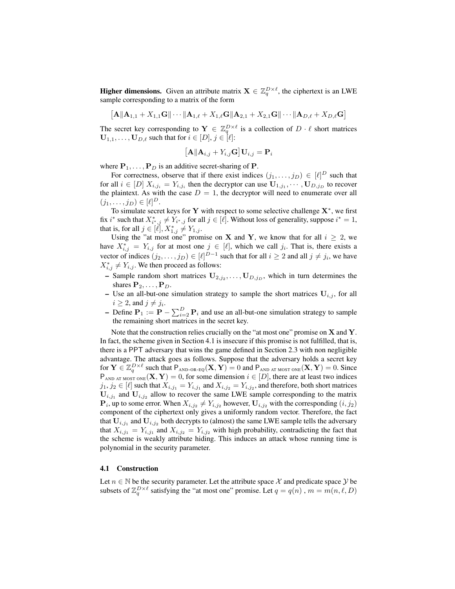**Higher dimensions.** Given an attribute matrix  $X \in \mathbb{Z}_q^{D \times \ell}$ , the ciphertext is an LWE sample corresponding to a matrix of the form

$$
\left[\mathbf{A}\|\mathbf{A}_{1,1} + X_{1,1}\mathbf{G}\| \cdots \|\mathbf{A}_{1,\ell} + X_{1,\ell}\mathbf{G}\|\mathbf{A}_{2,1} + X_{2,1}\mathbf{G}\| \cdots \|\mathbf{A}_{D,\ell} + X_{D,\ell}\mathbf{G}\right]
$$

The secret key corresponding to  $Y \in \mathbb{Z}_q^{D \times \ell}$  is a collection of  $D \cdot \ell$  short matrices  $\mathbf{U}_{1,1}, \ldots, \mathbf{U}_{D,\ell}$  such that for  $i \in [D], j \in [\ell]:$ 

$$
[\mathbf{A} \|\mathbf{A}_{i,j} + Y_{i,j} \mathbf{G}] \mathbf{U}_{i,j} = \mathbf{P}_i
$$

where  $P_1, \ldots, P_D$  is an additive secret-sharing of P.

For correctness, observe that if there exist indices  $(j_1, \ldots, j_D) \in [\ell]^D$  such that for all  $i \in [D]$   $X_{i,j_i} = Y_{i,j_i}$  then the decryptor can use  $\mathbf{U}_{1,j_1}, \cdots, \mathbf{U}_{D,j_D}$  to recover the plaintext. As with the case  $D = 1$ , the decryptor will need to enumerate over all  $(j_1,\ldots,j_D)\in[\ell]^D$ .

To simulate secret keys for Y with respect to some selective challenge  $X^*$ , we first fix  $i^*$  such that  $X^*_{i^*,j} \neq Y_{i^*,j}$  for all  $j \in [\ell]$ . Without loss of generality, suppose  $i^* = 1$ , that is, for all  $j \in [\ell], X^*_{1,j} \neq Y_{1,j}$ .

Using the "at most one" promise on X and Y, we know that for all  $i \geq 2$ , we have  $X^*_{i,j} = Y_{i,j}$  for at most one  $j \in [\ell]$ , which we call  $j_i$ . That is, there exists a vector of indices  $(j_2, \ldots, j_D) \in [\ell]^{D-1}$  such that for all  $i \ge 2$  and all  $j \ne j_i$ , we have  $X_{i,j}^* \neq Y_{i,j}$ . We then proceed as follows:

- Sample random short matrices  $U_{2,j_2}, \ldots, U_{D,j_D}$ , which in turn determines the shares  $P_2, \ldots, P_D$ .
- Use an all-but-one simulation strategy to sample the short matrices  $U_{i,j}$ , for all  $i \geq 2$ , and  $j \neq j_i$ .
- Define  $P_1 := P \sum_{i=2}^{D} P_i$  and use an all-but-one simulation strategy to sample the remaining short matrices in the secret key.

Note that the construction relies crucially on the "at most one" promise on X and Y. In fact, the scheme given in Section 4.1 is insecure if this promise is not fulfilled, that is, there is a PPT adversary that wins the game defined in Section 2.3 with non negligible advantage. The attack goes as follows. Suppose that the adversary holds a secret key for  $\mathbf{Y} \in \mathbb{Z}_q^{D \times \ell}$  such that  $\mathsf{P}_{AND-OR-EQ}(\mathbf{X}, \mathbf{Y}) = 0$  and  $\mathsf{P}_{AND-ATMOST\ ONE}(\mathbf{X}, \mathbf{Y}) = 0$ . Since  $P_{AND AT MOST ONE}(\mathbf{X}, \mathbf{Y}) = 0$ , for some dimension  $i \in [D]$ , there are at least two indices  $j_1, j_2 \in [\ell]$  such that  $X_{i,j_1} = Y_{i,j_1}$  and  $X_{i,j_2} = Y_{i,j_2}$ , and therefore, both short matrices  $U_{i,j_1}$  and  $U_{i,j_2}$  allow to recover the same LWE sample corresponding to the matrix  $\mathbf{P}_i$ , up to some error. When  $X_{i,j_2} \neq Y_{i,j_2}$  however,  $\mathbf{U}_{i,j_2}$  with the corresponding  $(i,j_2)$ component of the ciphertext only gives a uniformly random vector. Therefore, the fact that  $U_{i,j_1}$  and  $U_{i,j_2}$  both decrypts to (almost) the same LWE sample tells the adversary that  $X_{i,j_1} = Y_{i,j_1}$  and  $X_{i,j_2} = Y_{i,j_2}$  with high probability, contradicting the fact that the scheme is weakly attribute hiding. This induces an attack whose running time is polynomial in the security parameter.

#### 4.1 Construction

Let  $n \in \mathbb{N}$  be the security parameter. Let the attribute space X and predicate space Y be subsets of  $\mathbb{Z}_q^{D\times \ell}$  satisfying the "at most one" promise. Let  $q = q(n)$ ,  $m = m(n, \ell, D)$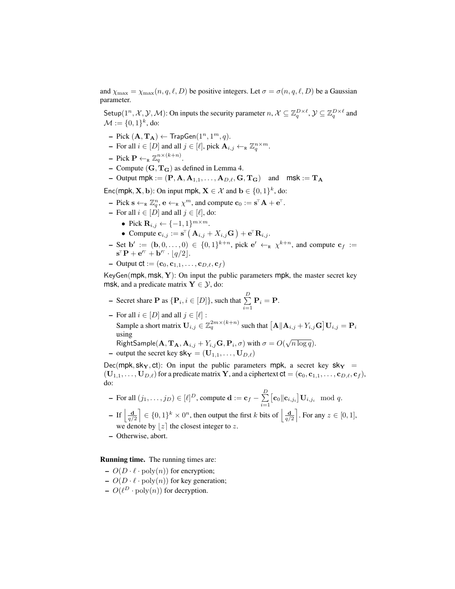and  $\chi_{\text{max}} = \chi_{\text{max}}(n, q, \ell, D)$  be positive integers. Let  $\sigma = \sigma(n, q, \ell, D)$  be a Gaussian parameter.

Setup $(1^n, \mathcal{X}, \mathcal{Y}, \mathcal{M})$ : On inputs the security parameter  $n, \mathcal{X} \subseteq \mathbb{Z}_q^{D \times \ell}$ ,  $\mathcal{Y} \subseteq \mathbb{Z}_q^{D \times \ell}$  and  $\mathcal{M} := \{0, 1\}^k$ , do:

- $-$  Pick  $(\mathbf{A}, \mathbf{T_A}) \leftarrow \mathsf{TrapGen}(1^n, 1^m, q)$ .
- For all  $i \in [D]$  and all  $j \in [\ell],$  pick  $\mathbf{A}_{i,j} \leftarrow_{\mathbb{R}} \mathbb{Z}_q^{n \times m}$ .
- $-$  Pick  $\mathbf{P} \leftarrow_{\mathbf{R}} \mathbb{Z}_q^{n \times (k+n)}$ .
- Compute  $(G, T_G)$  as defined in Lemma 4.
- Output mpk :=  $(P, A, A_{1,1}, \ldots, A_{D,\ell}, G, T_G)$  and msk :=  $T_A$

Enc(mpk, **X**, **b**): On input mpk, **X**  $\in \mathcal{X}$  and **b**  $\in \{0, 1\}^k$ , do:

- Pick  $\mathbf{s} \leftarrow_{\mathbb{R}} \mathbb{Z}_q^n$ ,  $\mathbf{e} \leftarrow_{\mathbb{R}} \chi^m$ , and compute  $\mathbf{c}_0 := \mathbf{s}^{\top} \mathbf{A} + \mathbf{e}^{\top}$ .
- For all  $i \in [D]$  and all  $j \in [\ell]$ , do:
	- Pick  $\mathbf{R}_{i,j} \leftarrow \{-1,1\}^{m \times m}$ .
	- Compute  $\mathbf{c}_{i,j} := \mathbf{s}^{\mathsf{T}} \big( \mathbf{A}_{i,j} + X_{i,j} \mathbf{G} \big) + \mathbf{e}^{\mathsf{T}} \mathbf{R}_{i,j}.$
- Set  $\mathbf{b}' := (\mathbf{b}, 0, \dots, 0) \in \{0, 1\}^{k+n}$ , pick  $\mathbf{e}' \leftarrow_R \chi^{k+n}$ , and compute  $\mathbf{c}_f :=$  $\mathbf{s}^{\!\top}\mathbf{P} + \mathbf{e}^{\prime\tau} + \mathbf{b}^{\prime\tau} \cdot \lfloor q/2 \rfloor.$
- Output  $\mathsf{ct} := (\mathbf{c}_0, \mathbf{c}_{1,1}, \dots, \mathbf{c}_{D,\ell}, \mathbf{c}_f)$

KeyGen(mpk, msk,  $Y$ ): On input the public parameters mpk, the master secret key msk, and a predicate matrix  $Y \in \mathcal{Y}$ , do:

- Secret share **P** as  $\{P_i, i \in [D]\}$ , such that  $\sum_{i=1}^{D} P_i = P$ .  $i=1$
- For all  $i \in [D]$  and all  $j \in [\ell]$  : Sample a short matrix  $\mathbf{U}_{i,j} \in \mathbb{Z}_q^{2m \times (k+n)}$  such that  $\left[\mathbf{A} \| \mathbf{A}_{i,j} + Y_{i,j} \mathbf{G} \right] \mathbf{U}_{i,j} = \mathbf{P}_i$ using using $\mathsf{RightSample}(\mathbf{A}, \mathbf{T_A}, \mathbf{A}_{i,j} + Y_{i,j} \mathbf{G}, \mathbf{P}_i, \sigma) \text{ with } \sigma = O(\sqrt{n \log q}).$
- output the secret key  $sk_Y = (\mathbf{U}_{1,1}, \dots, \mathbf{U}_{D,\ell})$

Dec(mpk, sk<sub>Y</sub>, ct): On input the public parameters mpk, a secret key sk<sub>Y</sub> =  $(\mathbf{U}_{1,1},\ldots,\mathbf{U}_{D,\ell})$  for a predicate matrix Y, and a ciphertext  $\mathsf{ct} = (\mathbf{c}_0, \mathbf{c}_{1,1},\ldots, \mathbf{c}_{D,\ell}, \mathbf{c}_f)$ , do:

- For all  $(j_1, \ldots, j_D) \in [\ell]^D$ , compute  $\mathbf{d} := \mathbf{c}_f - \sum^D$  $i=1$  $\left[\mathbf{c}_0\|\mathbf{c}_{i,j_i}\right]\mathbf{U}_{i,j_i} \mod q.$  $\left[-\text{If } \left|\frac{\mathbf{d}}{q/2}\right|\in\{0,1\}^k\times0^n\text{, then output the first }k\text{ bits of }\left|\frac{\mathbf{d}}{q/2}\right|\text{. For any }z\in[0,1],$ we denote by  $|z|$  the closest integer to z. – Otherwise, abort.

Running time. The running times are:

- $O(D \cdot \ell \cdot \text{poly}(n))$  for encryption;
- $O(D \cdot \ell \cdot \text{poly}(n))$  for key generation;
- $O(\ell^D \cdot \text{poly}(n))$  for decryption.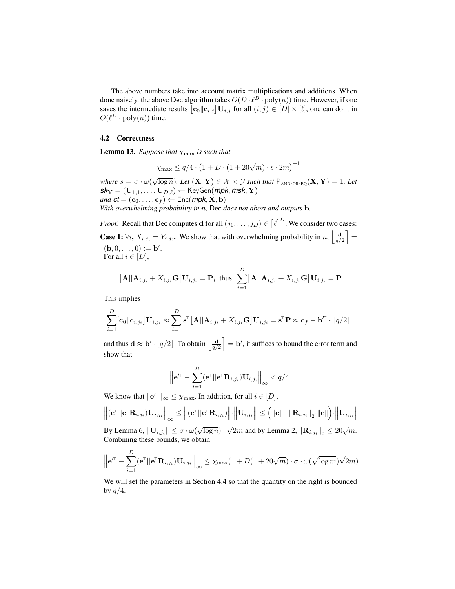The above numbers take into account matrix multiplications and additions. When done naively, the above Dec algorithm takes  $O(D \cdot \ell^D \cdot \text{poly}(n))$  time. However, if one saves the intermediate results  $[\mathbf{c}_0 || \mathbf{c}_{i,j}] \mathbf{U}_{i,j}$  for all  $(i, j) \in [D] \times [\ell]$ , one can do it in  $O(\ell^D \cdot \text{poly}(n))$  time.

## 4.2 Correctness

**Lemma 13.** *Suppose that*  $\chi_{\text{max}}$  *is such that* 

$$
\chi_{\max} \le q/4 \cdot \left(1 + D \cdot (1 + 20\sqrt{m}) \cdot s \cdot 2m\right)^{-1}
$$

*where*  $s = \sigma \cdot \omega(\sqrt{\log n})$ *. Let*  $(X, Y) \in \mathcal{X} \times \mathcal{Y}$  such that  $P_{AND-OR-EQ}(X, Y) = 1$ *. Let*  $\mathsf{sk}_{\mathbf{Y}} = (\mathbf{U}_{1,1}, \dots, \mathbf{U}_{D,\ell}) \leftarrow \mathsf{KeyGen}(\textit{mpk}, \textit{msk}, \mathbf{Y})$ *and*  $ct = (c_0, \ldots, c_f) \leftarrow Enc(mpk, X, b)$ *With overwhelming probability in* n*,* Dec *does not abort and outputs* b*.*

*Proof.* Recall that Dec computes d for all  $(j_1, \ldots, j_D) \in [\ell]^D$ . We consider two cases: **Case 1:**  $\forall i$ ,  $X_{i,j_i} = Y_{i,j_i}$ . We show that with overwhelming probability in  $n$ ,  $\left| \frac{d}{q/2} \right| =$  $(b, 0, \ldots, 0) := b'.$ For all  $i \in [D]$ ,

$$
[\mathbf{A}||\mathbf{A}_{i,j_i} + X_{i,j_i}\mathbf{G}]\mathbf{U}_{i,j_i} = \mathbf{P}_i \text{ thus } \sum_{i=1}^D [\mathbf{A}||\mathbf{A}_{i,j_i} + X_{i,j_i}\mathbf{G}]\mathbf{U}_{i,j_i} = \mathbf{P}
$$

This implies

$$
\sum_{i=1}^{D} [\mathbf{c}_0 || \mathbf{c}_{i,j_i}] \mathbf{U}_{i,j_i} \approx \sum_{i=1}^{D} \mathbf{s}^{\mathsf{T}} [\mathbf{A} || \mathbf{A}_{i,j_i} + X_{i,j_i} \mathbf{G}] \mathbf{U}_{i,j_i} = \mathbf{s}^{\mathsf{T}} \mathbf{P} \approx \mathbf{c}_f - \mathbf{b}'^{\mathsf{T}} \cdot [q/2]
$$

and thus  $\mathbf{d} \approx \mathbf{b}' \cdot \lfloor q/2 \rfloor$ . To obtain  $\left| \frac{\mathbf{d}}{q/2} \right| = \mathbf{b}'$ , it suffices to bound the error term and show that

$$
\left\|\mathbf{e}^{t\mathsf{T}}-\sum_{i=1}^D\!\left(\mathbf{e}^{\mathsf{T}}\right\|\mathbf{e}^{\mathsf{T}}\mathbf{R}_{i,j_i}\right)\!\mathbf{U}_{i,j_i}\right\|_{\infty}
$$

We know that  $\|\mathbf{e}^{\prime\prime}\|_{\infty} \leq \chi_{\text{max}}$ . In addition, for all  $i \in [D]$ ,

$$
\left\|(\mathbf{e}^{\!\top}||\mathbf{e}^{\!\top} \mathbf{R}_{i,j_i}) \mathbf{U}_{i,j_i}\right\|_{\infty} \le \left\|(\mathbf{e}^{\!\top}||\mathbf{e}^{\!\top} \mathbf{R}_{i,j_i})\right\| \cdot \left\|\mathbf{U}_{i,j_i}\right\| \le \left(\|\mathbf{e}\| + \|\mathbf{R}_{i,j_i}\|_2 \cdot \|\mathbf{e}\|\right) \cdot \left\|\mathbf{U}_{i,j_i}\right\|
$$

By Lemma 6,  $\|\mathbf{U}_{i,j_i}\| \leq \sigma \cdot \omega(\sqrt{\log n})$  ·  $\overline{2m}$  and by Lemma 2,  $\left\|\mathbf{R}_{i,j_i}\right\|_2 \leq 20\sqrt{m}$ . Combining these bounds, we obtain

$$
\left\|\mathbf{e}^{t} - \sum_{i=1}^{D} (\mathbf{e}^{\mathsf{T}} || \mathbf{e}^{\mathsf{T}} \mathbf{R}_{i,j_i}) \mathbf{U}_{i,j_i} \right\|_{\infty} \leq \chi_{\max}(1 + D(1 + 20\sqrt{m}) \cdot \sigma \cdot \omega(\sqrt{\log m}) \sqrt{2m})
$$

We will set the parameters in Section 4.4 so that the quantity on the right is bounded by  $q/4$ .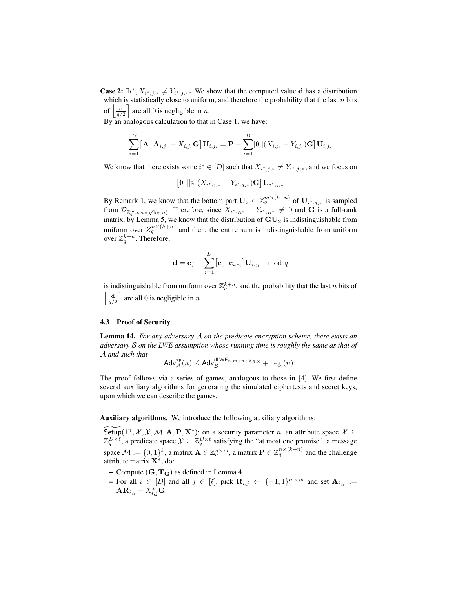**Case 2:**  $\exists i^*, X_{i^*, j_{i^*}} \neq Y_{i^*, j_{i^*}}$ . We show that the computed value d has a distribution which is statistically close to uniform, and therefore the probability that the last  $n$  bits of  $\left[\frac{d}{q/2}\right]$  are all 0 is negligible in *n*.

By an analogous calculation to that in Case 1, we have:

$$
\sum_{i=1}^{D} [\mathbf{A} || \mathbf{A}_{i,j_i} + X_{i,j_i} \mathbf{G}] \mathbf{U}_{i,j_i} = \mathbf{P} + \sum_{i=1}^{D} [\mathbf{0} || (X_{i,j_i} - Y_{i,j_i}) \mathbf{G}] \mathbf{U}_{i,j_i}
$$

We know that there exists some  $i^* \in [D]$  such that  $X_{i^*, j_{i^*}} \neq Y_{i^*, j_{i^*}}$ , and we focus on

$$
\big[\mathbf{0}^\top\vert\vert \mathbf{s}^\top(X_{i^*,j_{i^*}}-Y_{i^*,j_{i^*}})\mathbf{G}\big]\mathbf{U}_{i^*,j_{i^*}}
$$

By Remark 1, we know that the bottom part  $\mathbf{U}_2 \in \mathbb{Z}_q^{m \times (k+n)}$  of  $\mathbf{U}_{i^*,j_{i^*}}$  is sampled from  $\mathcal{D}_{\mathbb{Z}_q^m,\sigma\cdot\omega(\sqrt{\log n})}$ . Therefore, since  $X_{i^*,j_{i^*}} - Y_{i^*,j_{i^*}} \neq 0$  and G is a full-rank matrix, by Lemma 5, we know that the distribution of  $GU_2$  is indistinguishable from uniform over  $Z_q^{n\times (k+n)}$  and then, the entire sum is indistinguishable from uniform over  $\mathbb{Z}_q^{k+n}$ . Therefore,

$$
\mathbf{d} = \mathbf{c}_f - \sum_{i=1}^D [\mathbf{c}_0 || \mathbf{c}_{i,j_i}] \mathbf{U}_{i,j_i} \mod q
$$

is indistinguishable from uniform over  $\mathbb{Z}_q^{k+n}$ , and the probability that the last n bits of  $\left\lfloor \frac{d}{q/2} \right\rfloor$  are all 0 is negligible in n.

#### 4.3 Proof of Security

Lemma 14. *For any adversary* A *on the predicate encryption scheme, there exists an adversary* B *on the LWE assumption whose running time is roughly the same as that of* A *and such that*

$$
\mathsf{Adv}_{\mathcal{A}}^{\mathrm{PE}}(n) \leq \mathsf{Adv}_{\mathcal{B}}^{\mathsf{dlWE}_{n,m+n+k,q,\chi}} + \mathrm{negl}(n)
$$

The proof follows via a series of games, analogous to those in [4]. We first define several auxiliary algorithms for generating the simulated ciphertexts and secret keys, upon which we can describe the games.

Auxiliary algorithms. We introduce the following auxiliary algorithms:

 $\widetilde{\mathsf{Setup}}(1^n, \mathcal{X}, \mathcal{Y}, \mathcal{M}, \mathbf{A}, \mathbf{P}, \mathbf{X}^*)$ : on a security parameter n, an attribute space  $\mathcal{X} \subseteq$  $\mathbb{Z}_q^{D\times\ell}$ , a predicate space  $\mathcal{Y}\subseteq\mathbb{Z}_q^{D\times\ell}$  satisfying the "at most one promise", a message space  $\mathcal{M} := \{0,1\}^k$ , a matrix  $\mathbf{A} \in \mathbb{Z}_q^{n \times m}$ , a matrix  $\mathbf{P} \in \mathbb{Z}_q^{n \times (k+n)}$  and the challenge attribute matrix  $X^*$ , do:

- Compute  $(G, T_G)$  as defined in Lemma 4.
- For all  $i \in [D]$  and all  $j \in [\ell],$  pick  $\mathbf{R}_{i,j} \leftarrow \{-1,1\}^{m \times m}$  and set  $\mathbf{A}_{i,j} :=$  $AR_{i,j} - X_{i,j}^*$ G.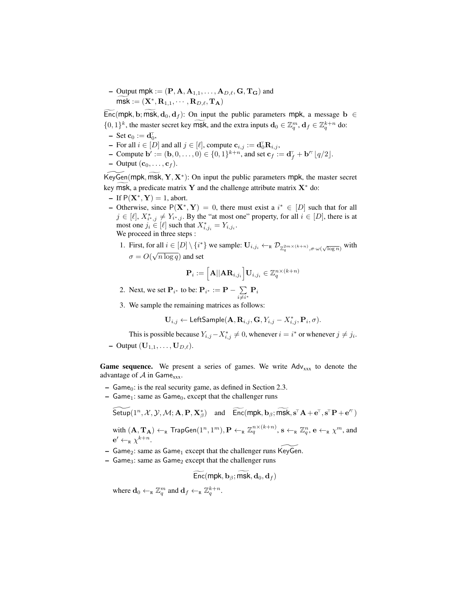- Output mpk :=  $(\mathbf{P}, \mathbf{A}, \mathbf{A}_{1,1}, \dots, \mathbf{A}_{D,\ell}, \mathbf{G}, \mathbf{T}_{\mathbf{G}})$  and  $\textsf{msk} := (\mathbf{X}^*, \mathbf{R}_{1,1}, \cdots, \mathbf{R}_{D,\ell}, \mathbf{T_A})$ 

Enc (mpk, b; msk,  $d_0, d_f$ ): On input the public parameters mpk, a message b ∈  $\{0,1\}^k$ , the master secret key msk, and the extra inputs  $\mathbf{d}_0 \in \mathbb{Z}_q^m$ ,  $\mathbf{d}_f \in \mathbb{Z}_q^{k+n}$  do:

- $-$  Set  $\mathbf{c}_0 := \mathbf{d}_0^{\top}$ ,
- − For all  $i \in [D]$  and all  $j \in [\ell],$  compute  $\mathbf{c}_{i,j} := \mathbf{d}_{0}^{\top} \mathbf{R}_{i,j}$ ,
- Compute  $\mathbf{b}' := (\mathbf{b}, 0, \dots, 0) \in \{0, 1\}^{k+n}$ , and set  $\mathbf{c}_f := \mathbf{d}_f^{\top} + \mathbf{b}'^{\top} \lfloor q/2 \rfloor$ .
- $\sim$  Output  $(c_0, \ldots, c_f)$ .

 $\widetilde{\operatorname{KeyGen}}$ (mpk,  $\widetilde{\operatorname{msk}}, \mathbf{Y}, \mathbf{X}^*$ ): On input the public parameters mpk, the master secret key msk, a predicate matrix Y and the challenge attribute matrix  $X^*$  do:

- $\text{I}$  If  $P(X^*, Y) = 1$ , abort.
- Otherwise, since  $P(X^*, Y) = 0$ , there must exist a  $i^* ∈ [D]$  such that for all  $j \in [\ell], X^*_{i^*,j} \neq Y_{i^*,j}$ . By the "at most one" property, for all  $i \in [D]$ , there is at most one  $j_i \in [\ell]$  such that  $X^*_{i,j_i} = Y_{i,j_i}$ . We proceed in three steps :
	- 1. First, for all  $i \in [D] \setminus \{i^*\}$  we sample:  $\mathbf{U}_{i,j_i} \leftarrow_R \mathcal{D}_{\mathbb{Z}_q^{2m \times (k+n)}, \sigma \cdot \omega(\sqrt{\log n})}$  with  $\sigma = O(\sqrt{n \log q})$  and set

$$
\mathbf{P}_i := \left[\mathbf{A}||\mathbf{A}\mathbf{R}_{i,j_i}\right] \mathbf{U}_{i,j_i} \in \mathbb{Z}_q^{n \times (k+n)}
$$

- 2. Next, we set  $\mathbf{P}_{i^*}$  to be:  $\mathbf{P}_{i^*} := \mathbf{P} \sum$  $\sum\limits_{i\neq i^*}\mathbf{P}_i$
- 3. We sample the remaining matrices as follows:

$$
\mathbf{U}_{i,j} \leftarrow \mathsf{LeftSample}(\mathbf{A}, \mathbf{R}_{i,j}, \mathbf{G}, Y_{i,j} - X_{i,j}^*, \mathbf{P}_i, \sigma).
$$

This is possible because  $Y_{i,j} - X_{i,j}^* \neq 0$ , whenever  $i = i^*$  or whenever  $j \neq j_i$ . - Output  $(\mathbf{U}_{1,1}, \ldots, \mathbf{U}_{D,\ell}).$ 

Game sequence. We present a series of games. We write  $Adv_{xxx}$  to denote the advantage of  $A$  in Game<sub>xxx</sub>.

- $-$  Game<sub>0</sub>: is the real security game, as defined in Section 2.3.
- Game<sub>1</sub>: same as Game<sub>0</sub>, except that the challenger runs

$$
\widetilde{\mathsf{Setup}}(1^n,\mathcal{X},\mathcal{Y},\mathcal{M};\mathbf{A},\mathbf{P},\mathbf{X}_{\beta}^*) \quad \text{and} \quad \widetilde{\mathsf{Enc}}(\mathsf{mpk},\mathbf{b}_{\beta};\widetilde{\mathsf{msk}},\mathbf{s}^{\top}\mathbf{A}+\mathbf{e}^{\top},\mathbf{s}^{\top}\mathbf{P}+\mathbf{e}^{\prime\top})
$$
\n
$$
\text{with } (\mathbf{A},\mathbf{T}_{\mathbf{A}}) \leftarrow_{\mathbf{R}} \mathsf{TrapGen}(1^n,1^m), \mathbf{P} \leftarrow_{\mathbf{R}} \mathbb{Z}_q^{n \times (k+n)}, \mathbf{s} \leftarrow_{\mathbf{R}} \mathbb{Z}_q^n, \mathbf{e} \leftarrow_{\mathbf{R}} \chi^m, \text{ and}
$$
\n
$$
\mathbf{e}' \leftarrow_{\mathbf{R}} \chi^{k+n}.
$$

 $\sim$   $\sim$ 

- Game<sub>2</sub>: same as Game<sub>1</sub> except that the challenger runs KeyGen.
- $-$  Game<sub>3</sub>: same as Game<sub>2</sub> except that the challenger runs

$$
\mathsf{Enc}(\mathsf{mpk},\mathbf{b}_{\beta};\mathsf{msk},\mathbf{d}_0,\mathbf{d}_f)
$$

where  $\mathbf{d}_0 \leftarrow_R \mathbb{Z}_q^m$  and  $\mathbf{d}_f \leftarrow_R \mathbb{Z}_q^{k+n}$ .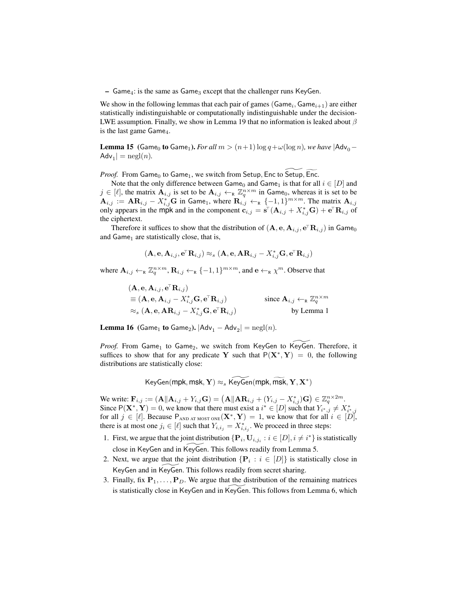– Game<sub>4</sub>: is the same as Game<sub>3</sub> except that the challenger runs KeyGen.

We show in the following lemmas that each pair of games (Game<sub>i</sub>, Game<sub>i+1</sub>) are either statistically indistinguishable or computationally indistinguishable under the decision-LWE assumption. Finally, we show in Lemma 19 that no information is leaked about  $\beta$ is the last game  $Game<sub>4</sub>$ .

**Lemma 15** (Game<sub>0</sub> to Game<sub>1</sub>). *For all*  $m > (n+1) \log q + \omega(\log n)$ *, we have*  $|Adv_0 \mathsf{Adv}_1| = \operatorname{negl}(n)$ .

*Proof.* From Game<sub>0</sub> to Game<sub>1</sub>, we switch from Setup, Enc to Setup, Enc.

Note that the only difference between  $Game_0$  and  $Game_1$  is that for all  $i \in [D]$  and  $j \in [\ell],$  the matrix  $\mathbf{A}_{i,j}$  is set to be  $\mathbf{A}_{i,j} \leftarrow_R \mathbb{Z}_q^{n \times m}$  in Game<sub>0</sub>, whereas it is set to be  $\mathbf{A}_{i,j} := \mathbf{A} \mathbf{R}_{i,j} - X_{i,j}^* \mathbf{G}$  in Game<sub>1</sub>, where  $\mathbf{R}_{i,j}$   $\leftarrow_R \{-1,1\}^{m \times m}$ . The matrix  $\mathbf{A}_{i,j}$ only appears in the mpk and in the component  $\mathbf{c}_{i,j} = \mathbf{s}^{\text{T}}(\mathbf{A}_{i,j} + X_{i,j}^* \mathbf{G}) + \mathbf{e}^{\text{T}} \mathbf{R}_{i,j}$  of the ciphertext.

Therefore it suffices to show that the distribution of  $({\bf A}, {\bf e}, {\bf A}_{i,j}, {\bf e}^{\top} {\bf R}_{i,j})$  in Game<sub>0</sub> and  $Game<sub>1</sub>$  are statistically close, that is,

$$
(\mathbf{A},\mathbf{e},\mathbf{A}_{i,j},\mathbf{e}^{\mathsf{T}}\mathbf{R}_{i,j}) \approx_s (\mathbf{A},\mathbf{e},\mathbf{A}\mathbf{R}_{i,j} - X_{i,j}^*\mathbf{G},\mathbf{e}^{\mathsf{T}}\mathbf{R}_{i,j})
$$

where  $\mathbf{A}_{i,j} \leftarrow_R \mathbb{Z}_q^{n \times m}$ ,  $\mathbf{R}_{i,j} \leftarrow_R \{-1,1\}^{m \times m}$ , and  $\mathbf{e} \leftarrow_R \chi^m$ . Observe that

 $(\mathbf{A}, \mathbf{e}, \mathbf{A}_{i,j}, \mathbf{e}^{\!\top} \mathbf{R}_{i,j})$  $\mathbf{F} \equiv (\mathbf{A}, \mathbf{e}, \mathbf{A}_{i,j} - X_{i,j}^* \mathbf{G}, \mathbf{e}^{\mathsf{T}} \mathbf{R}_{i,j})$  since  $\mathbf{A}_{i,j} \leftarrow_{\mathsf{R}} \mathbb{Z}_q^{n \times m}$  $\approx_s ({\bf A},{\bf e},{\bf A}{\bf R}_{i,j}-X_{i,j}^*{\bf G},{\bf e})$ by Lemma 1

**Lemma 16** (Game<sub>1</sub> to Game<sub>2</sub>).  $|\text{Adv}_1 - \text{Adv}_2| = \text{negl}(n)$ .

Proof. From Game<sub>1</sub> to Game<sub>2</sub>, we switch from KeyGen to KeyGen. Therefore, it suffices to show that for any predicate Y such that  $P(X^*, Y) = 0$ , the following distributions are statistically close:

$$
\mathsf{KeyGen}(\mathsf{mpk}, \mathsf{msk}, \mathbf{Y}) \approx_s \widetilde{\mathsf{KeyGen}}(\mathsf{mpk}, \widetilde{\mathsf{msk}}, \mathbf{Y}, \mathbf{X}^*)
$$

We write:  $F_{i,j} := (A \| A_{i,j} + Y_{i,j} G) = (A \| A R_{i,j} + (Y_{i,j} - X_{i,j}^*) G) \in \mathbb{Z}_q^{n \times 2m}$ . Since  $P(X^*, Y) = 0$ , we know that there must exist a  $i^* \in [D]$  such that  $Y_{i^*, j} \neq X_{i^*, j}^*$ for all  $j \in [\ell]$ . Because  $P_{AND AT MOST ONE}(\mathbf{X}^*, \mathbf{Y}) = 1$ , we know that for all  $i \in [D]$ , there is at most one  $j_i \in [\ell]$  such that  $Y_{i,i_j} = X^*_{i,i_j}$ . We proceed in three steps:

- 1. First, we argue that the joint distribution  $\{P_i, U_{i,j_i} : i \in [D], i \neq i^*\}$  is statistically close in KeyGen and in KeyGen. This follows readily from Lemma 5.
- 2. Next, we argue that the joint distribution  $\{P_i : i \in [D]\}$  is statistically close in KeyGen and in KeyGen. This follows readily from secret sharing.
- 3. Finally, fix  $P_1, \ldots, P_D$ . We argue that the distribution of the remaining matrices is statistically close in KeyGen and in KeyGen. This follows from Lemma 6, which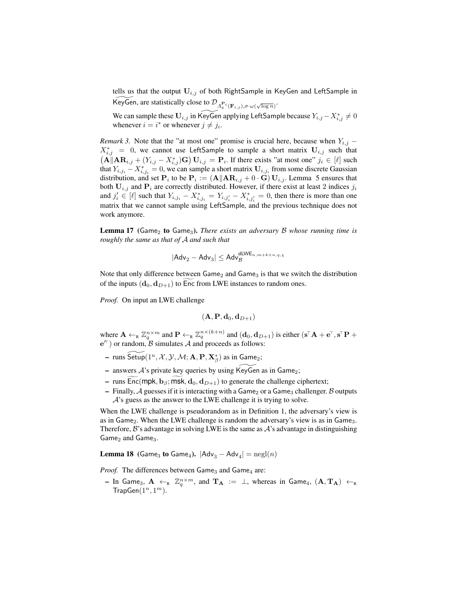tells us that the output  $U_{i,j}$  of both RightSample in KeyGen and LeftSample in KeyGen, are statistically close to  $\mathcal{D}_{A_q^{\mathbf{P}_i}}(\mathbf{F}_{i,j}), \sigma \cdot \omega(\sqrt{\log n})$ .

We can sample these  $\mathbf{U}_{i,j}$  in KeyGen applying LeftSample because  $Y_{i,j} - X_{i,j}^* \neq 0$ whenever  $i = i^*$  or whenever  $j \neq j_i$ .

*Remark 3.* Note that the "at most one" promise is crucial here, because when  $Y_{i,j}$  –  $X^*_{i,j}$  = 0, we cannot use LeftSample to sample a short matrix  $U_{i,j}$  such that  $(A \|AR_{i,j} + (Y_{i,j} - X_{i,j}^*)\mathbf{G}) \mathbf{U}_{i,j} = \mathbf{P}_i$ . If there exists "at most one"  $j_i \in [\ell]$  such that  $Y_{i,j_i} - X_{i,j_i}^* = 0$ , we can sample a short matrix  $U_{i,j_i}$  from some discrete Gaussian distribution, and set  $P_i$  to be  $P_i := (A \| AR_{i,j} + 0 \cdot G) U_{i,j}$ . Lemma 5 ensures that both  $U_{i,j}$  and  $P_i$  are correctly distributed. However, if there exist at least 2 indices  $j_i$ and  $j'_i \in [\ell]$  such that  $Y_{i,j_i} - X^*_{i,j_i} = Y_{i,j'_i} - X^*_{i,j'_i} = 0$ , then there is more than one matrix that we cannot sample using LeftSample, and the previous technique does not work anymore.

**Lemma 17** (Game<sub>2</sub> to Game<sub>3</sub>). *There exists an adversary B whose running time is roughly the same as that of* A *and such that*

$$
|\mathsf{Adv}_2 - \mathsf{Adv}_3| \leq \mathsf{Adv}_{\mathcal{B}}^{\mathsf{dLWE}_{n,m+k+n,q,\chi}}
$$

Note that only difference between  $Game_2$  and  $Game_3$  is that we switch the distribution of the inputs  $(\mathbf{d}_0, \mathbf{d}_{D+1})$  to Enc from LWE instances to random ones.

*Proof.* On input an LWE challenge

$$
(\mathbf{A},\mathbf{P},\mathbf{d}_0,\mathbf{d}_{D+1})
$$

where  $\mathbf{A} \leftarrow_{\mathbb{R}} \mathbb{Z}_q^{n \times m}$  and  $\mathbf{P} \leftarrow_{\mathbb{R}} \mathbb{Z}_q^{n \times (k+n)}$  and  $(\mathbf{d}_0, \mathbf{d}_{D+1})$  is either  $(\mathbf{s}^{\mathsf{T}} \mathbf{A} + \mathbf{e}^{\mathsf{T}}, \mathbf{s}^{\mathsf{T}} \mathbf{P} +$  $e^{r}$ ) or random,  $B$  simulates  $A$  and proceeds as follows:

- $-$  runs  $\widetilde{\mathsf{Setup}}(1^n,\mathcal{X},\mathcal{Y},\mathcal{M}; \mathbf{A},\mathbf{P}, \mathbf{X}^*_{\beta})$  as in Game $_2;$
- answers  $A$ 's private key queries by using KeyGen as in Game<sub>2</sub>;
- runs Enc(mpk,  $\mathbf{b}_{\beta}$ ; msk,  $\mathbf{d}_0$ ,  $\mathbf{d}_{D+1}$ ) to generate the challenge ciphertext;
- Finally, A guesses if it is interacting with a Game<sub>2</sub> or a Game<sub>3</sub> challenger. B outputs  $\mathcal{A}$ 's guess as the answer to the LWE challenge it is trying to solve.

When the LWE challenge is pseudorandom as in Definition 1, the adversary's view is as in Game<sub>2</sub>. When the LWE challenge is random the adversary's view is as in Game<sub>3</sub>. Therefore,  $\mathcal{B}'$ 's advantage in solving LWE is the same as  $\mathcal{A}'$ 's advantage in distinguishing  $Game<sub>2</sub>$  and  $Game<sub>3</sub>$ .

**Lemma 18** (Game<sub>3</sub> to Game<sub>4</sub>).  $|{\mathsf{Adv}}_3 - {\mathsf{Adv}}_4| = \mathsf{negl}(n)$ 

*Proof.* The differences between Game<sub>3</sub> and Game<sub>4</sub> are:

- In Game<sub>3</sub>,  $A \leftarrow_R \mathbb{Z}_q^{n \times m}$ , and  $T_A := \perp$ , whereas in Game<sub>4</sub>,  $(A, T_A) \leftarrow_R$  $\mathsf{TrapGen}(1^n,1^m)$ .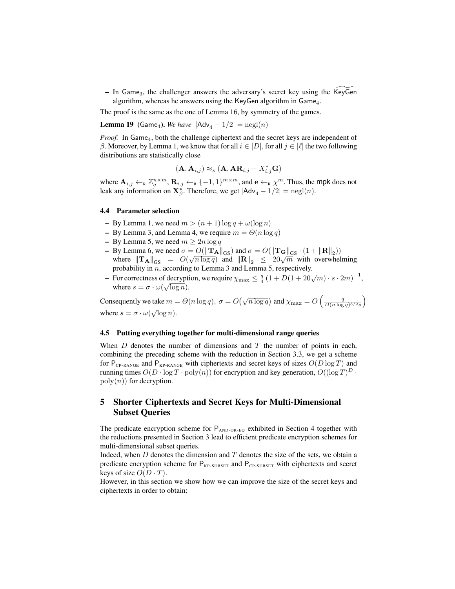– In Game<sub>3</sub>, the challenger answers the adversary's secret key using the KeyGen algorithm, whereas he answers using the KeyGen algorithm in  $Game_4$ .

The proof is the same as the one of Lemma 16, by symmetry of the games.

**Lemma 19** (Game<sub>4</sub>). *We have*  $|Adv_4 - 1/2| = negl(n)$ 

Proof. In Game<sub>4</sub>, both the challenge ciphertext and the secret keys are independent of β. Moreover, by Lemma 1, we know that for all  $i \in [D]$ , for all  $j \in [\ell]$  the two following distributions are statistically close

$$
(\mathbf{A}, \mathbf{A}_{i,j}) \approx_s (\mathbf{A}, \mathbf{A}\mathbf{R}_{i,j} - X_{i,j}^* \mathbf{G})
$$

where  $\mathbf{A}_{i,j} \leftarrow_R \mathbb{Z}_q^{n \times m}$ ,  $\mathbf{R}_{i,j} \leftarrow_R \{-1,1\}^{m \times m}$ , and  $\mathbf{e} \leftarrow_R \chi^m$ . Thus, the mpk does not leak any information on  $\mathbf{X}_{\beta}^*$ . Therefore, we get  $|\text{Adv}_4 - 1/2| = \text{negl}(n)$ .

#### 4.4 Parameter selection

- By Lemma 1, we need  $m > (n + 1) \log q + \omega(\log n)$
- By Lemma 3, and Lemma 4, we require  $m = \Theta(n \log q)$
- By Lemma 5, we need  $m \ge 2n \log q$
- By Lemma 6, we need  $\sigma = O(||\mathbf{T_A}||_{GS})$  and  $\sigma = O(||\mathbf{T_G}||_{GS} \cdot (1 + ||\mathbf{R}||_2))$ By Lemma 6, we need  $\sigma = O(\|\mathbf{I}_A\|_{GS})$  and  $\sigma = O(\|\mathbf{I}_B\|_{GS} \cdot (1 + \|\mathbf{R}\|_{2}))$ <br>where  $\|\mathbf{T}_A\|_{GS} = O(\sqrt{n \log q})$  and  $\|\mathbf{R}\|_2 \leq 20\sqrt{m}$  with overwhelming probability in n, according to Lemma 3 and Lemma 5, respectively.
- For correctness of decryption, we require  $\chi_{\text{max}} \leq \frac{q}{4} (1 + D(1 + 20\sqrt{m}) \cdot s \cdot 2m)^{-1}$ , where  $s = \sigma \cdot \omega(\sqrt{\log n}).$

Consequently we take  $m = \Theta(n \log q)$ ,  $\sigma = O(\sqrt{n \log q})$  and  $\chi_{\text{max}} = O\left(\frac{q}{D(n \log q)}\right)$  $\frac{q}{D(n\log q)^{3/2}s}$ where  $s = \sigma \cdot \omega(\sqrt{\log n}).$ √

#### 4.5 Putting everything together for multi-dimensional range queries

When  $D$  denotes the number of dimensions and  $T$  the number of points in each, combining the preceding scheme with the reduction in Section 3.3, we get a scheme for  $P_{CP-RANGE}$  and  $P_{KP-RANGE}$  with ciphertexts and secret keys of sizes  $O(D \log T)$  and running times  $O(D \cdot \log T \cdot \text{poly}(n))$  for encryption and key generation,  $O((\log T)^D \cdot$  $poly(n)$  for decryption.

# 5 Shorter Ciphertexts and Secret Keys for Multi-Dimensional Subset Queries

The predicate encryption scheme for  $P_{AND-OR-EO}$  exhibited in Section 4 together with the reductions presented in Section 3 lead to efficient predicate encryption schemes for multi-dimensional subset queries.

Indeed, when  $D$  denotes the dimension and  $T$  denotes the size of the sets, we obtain a predicate encryption scheme for  $P_{KP-SUBSET}$  and  $P_{CP-SUBSET}$  with ciphertexts and secret keys of size  $O(D \cdot T)$ .

However, in this section we show how we can improve the size of the secret keys and ciphertexts in order to obtain: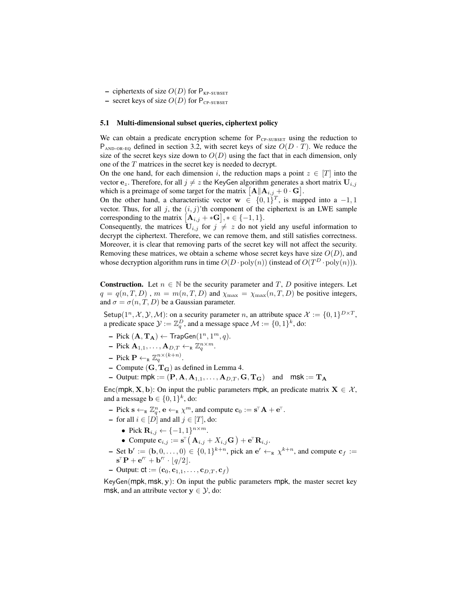- ciphertexts of size  $O(D)$  for  $P_{KP-SUBSET}$
- secret keys of size  $O(D)$  for P<sub>CP-SUBSET</sub>

#### 5.1 Multi-dimensional subset queries, ciphertext policy

We can obtain a predicate encryption scheme for  $P_{CP-SUBSET}$  using the reduction to  $P_{AND-OR-EO}$  defined in section 3.2, with secret keys of size  $O(D \cdot T)$ . We reduce the size of the secret keys size down to  $O(D)$  using the fact that in each dimension, only one of the T matrices in the secret key is needed to decrypt.

On the one hand, for each dimension i, the reduction maps a point  $z \in [T]$  into the vector  $\mathbf{e}_z$ . Therefore, for all  $j \neq z$  the KeyGen algorithm generates a short matrix  $\mathbf{U}_{i,j}$ which is a preimage of some target for the matrix  $[\mathbf{A} || \mathbf{A}_{i,j} + 0 \cdot \mathbf{G}]$ .

On the other hand, a characteristic vector  $\mathbf{w} \in \{0,1\}^T$ , is mapped into a -1, 1 vector. Thus, for all j, the  $(i, j)$ 'th component of the ciphertext is an LWE sample corresponding to the matrix  $[\mathbf{A}_{i,j} + * \mathbf{G}], * \in \{-1, 1\}.$ 

Consequently, the matrices  $U_{i,j}$  for  $j \neq z$  do not yield any useful information to decrypt the ciphertext. Therefore, we can remove them, and still satisfies correctness. Moreover, it is clear that removing parts of the secret key will not affect the security. Removing these matrices, we obtain a scheme whose secret keys have size  $O(D)$ , and whose decryption algorithm runs in time  $O(D \cdot \text{poly}(n))$  (instead of  $O(T^D \cdot \text{poly}(n))$ ).

**Construction.** Let  $n \in \mathbb{N}$  be the security parameter and T, D positive integers. Let  $q = q(n, T, D)$ ,  $m = m(n, T, D)$  and  $\chi_{\text{max}} = \chi_{\text{max}}(n, T, D)$  be positive integers, and  $\sigma = \sigma(n, T, D)$  be a Gaussian parameter.

Setup $(1^n, \mathcal{X}, \mathcal{Y}, \mathcal{M})$ : on a security parameter n, an attribute space  $\mathcal{X} := \{0, 1\}^{D \times T}$ , a predicate space  $\mathcal{Y} := \mathbb{Z}_q^D$ , and a message space  $\mathcal{M} := \{0, 1\}^k$ , do:

- $-$  Pick  $(\mathbf{A}, \mathbf{T_A}) \leftarrow \mathsf{TrapGen}(1^n, 1^m, q)$ .
- Pick  $\mathbf{A}_{1,1}, \ldots, \mathbf{A}_{D,T} \leftarrow_{R} \mathbb{Z}_q^{n \times m}$ .
- $-$  Pick  $\mathbf{P} \leftarrow_{\mathbf{R}} \mathbb{Z}_q^{n \times (k+n)}$ .
- Compute  $(G, T_G)$  as defined in Lemma 4.
- Output: mpk :=  $(P, A, A_{1,1}, \ldots, A_{D,T}, G, T_G)$  and msk :=  $T_A$

Enc(mpk, X, b): On input the public parameters mpk, an predicate matrix  $X \in \mathcal{X}$ , and a message  $\mathbf{b} \in \{0, 1\}^k$ , do:

- Pick  $\mathbf{s} \leftarrow_{\mathbb{R}} \mathbb{Z}_q^n$ ,  $\mathbf{e} \leftarrow_{\mathbb{R}} \chi^m$ , and compute  $\mathbf{c}_0 := \mathbf{s}^{\top} \mathbf{A} + \mathbf{e}^{\top}$ .
- for all  $i \in [D]$  and all  $j \in [T]$ , do:
	- Pick  $\mathbf{R}_{i,j} \leftarrow \{-1,1\}^{n \times m}$ .
	- Compute  $\mathbf{c}_{i,j} := \mathbf{s}^{\text{T}} \big( \mathbf{A}_{i,j} + X_{i,j} \mathbf{G} \big) + \mathbf{e}^{\text{T}} \mathbf{R}_{i,j}.$
- $\mathbf{0} = \mathbf{Set} \mathbf{b}' := (\mathbf{b}, 0, \dots, 0) \in \{0, 1\}^{k+n}$ , pick an  $\mathbf{e}' \leftarrow_R \chi^{k+n}$ , and compute  $\mathbf{c}_f :=$  $\mathbf{s}^{\!\top}\mathbf{P} + \mathbf{e}^{\prime\tau} + \mathbf{b}^{\prime\tau} \cdot \lfloor q/2 \rfloor.$
- Output:  $\mathsf{ct} := (\mathbf{c}_0, \mathbf{c}_{1,1}, \dots, \mathbf{c}_{D,T}, \mathbf{c}_f)$

KeyGen(mpk, msk,  $y$ ): On input the public parameters mpk, the master secret key msk, and an attribute vector  $y \in \mathcal{Y}$ , do: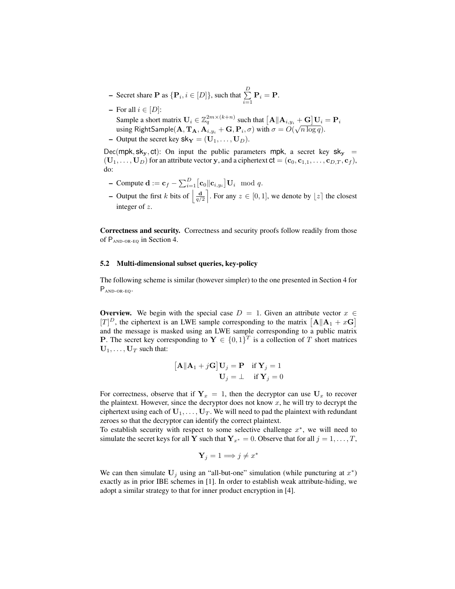- Secret share **P** as  $\{P_i, i \in [D]\}$ , such that  $\sum_{i=1}^{D}$  $\sum_{i=1}$   ${\bf P}_i = {\bf P}.$
- For all  $i \in [D]$ :

Sample a short matrix  $\mathbf{U}_i \in \mathbb{Z}_q^{2m \times (k+n)}$  such that  $\left[\mathbf{A} \| \mathbf{A}_{i,y_i} + \mathbf{G}\right] \mathbf{U}_i = \mathbf{P}_i$ Sample a short matrix  $\mathbf{U}_i \in \mathbb{Z}_q$ <br>
using RightSample( $\mathbf{A}, \mathbf{T}_\mathbf{A}, \mathbf{A}_{i,y_i} + \mathbf{G}, \mathbf{P}_i, \sigma$ ) with  $\sigma = O(\sqrt{n \log q})$ .

– Output the secret key  $sk_Y = (\mathbf{U}_1, \dots, \mathbf{U}_D)$ .

Dec(mpk,  $sk_v$ , ct): On input the public parameters mpk, a secret key  $sk_v$  =  $(\mathbf{U}_1, \ldots, \mathbf{U}_D)$  for an attribute vector y, and a ciphertext  $\mathbf{ct} = (\mathbf{c}_0, \mathbf{c}_{1,1}, \ldots, \mathbf{c}_{D,T}, \mathbf{c}_f)$ , do:

- Compute  $\mathbf{d} := \mathbf{c}_f \sum_{i=1}^D [\mathbf{c}_0 || \mathbf{c}_{i,y_i}] \mathbf{U}_i \mod q.$
- Output the first k bits of  $\left\lfloor \frac{d}{q/2} \right\rfloor$ . For any  $z \in [0, 1]$ , we denote by  $\lfloor z \rfloor$  the closest integer of z.

Correctness and security. Correctness and security proofs follow readily from those of  $P_{AND-OR-EQ}$  in Section 4.

### 5.2 Multi-dimensional subset queries, key-policy

The following scheme is similar (however simpler) to the one presented in Section 4 for  $P_{AND-OR-EQ}$ .

**Overview.** We begin with the special case  $D = 1$ . Given an attribute vector  $x \in$  $[T]^D$ , the ciphertext is an LWE sample corresponding to the matrix  $\left[\mathbf{A} \|\mathbf{A}_1 + x\mathbf{G} \right]$ and the message is masked using an LWE sample corresponding to a public matrix **P**. The secret key corresponding to  $Y \in \{0,1\}^T$  is a collection of T short matrices  $U_1, \ldots, U_T$  such that:

$$
[\mathbf{A}||\mathbf{A}_1 + j\mathbf{G}]\mathbf{U}_j = \mathbf{P} \text{ if } \mathbf{Y}_j = 1
$$
  

$$
\mathbf{U}_j = \perp \text{ if } \mathbf{Y}_j = 0
$$

For correctness, observe that if  $Y_x = 1$ , then the decryptor can use  $U_x$  to recover the plaintext. However, since the decryptor does not know  $x$ , he will try to decrypt the ciphertext using each of  $U_1, \ldots, U_T$ . We will need to pad the plaintext with redundant zeroes so that the decryptor can identify the correct plaintext.

To establish security with respect to some selective challenge  $x^*$ , we will need to simulate the secret keys for all Y such that  $Y_{x^*} = 0$ . Observe that for all  $j = 1, ..., T$ ,

$$
\mathbf{Y}_j = 1 \Longrightarrow j \neq x^*
$$

We can then simulate  $U_j$  using an "all-but-one" simulation (while puncturing at  $x^*$ ) exactly as in prior IBE schemes in [1]. In order to establish weak attribute-hiding, we adopt a similar strategy to that for inner product encryption in [4].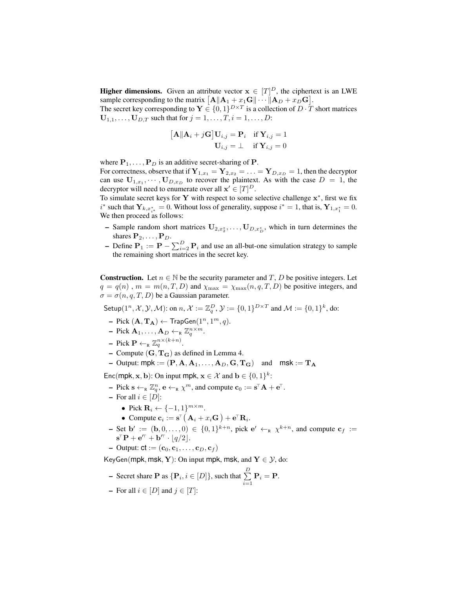**Higher dimensions.** Given an attribute vector  $x \in [T]^D$ , the ciphertext is an LWE sample corresponding to the matrix  $\begin{bmatrix} \mathbf{A} \|\mathbf{A}_1 + x_1\mathbf{G} \|\cdots \|\mathbf{A}_D + x_D\mathbf{G} \end{bmatrix}$ .

The secret key corresponding to  $\mathbf{Y} \in \{0,1\}^{D \times T}$  is a collection of  $D \cdot \overline{T}$  short matrices  $U_{1,1}, \ldots, U_{D,T}$  such that for  $j = 1, \ldots, T, i = 1, \ldots, D$ :

$$
\begin{bmatrix} \mathbf{A} \|\mathbf{A}_i + j\mathbf{G}\] \mathbf{U}_{i,j} = \mathbf{P}_i & \text{if } \mathbf{Y}_{i,j} = 1 \\ \mathbf{U}_{i,j} = \perp & \text{if } \mathbf{Y}_{i,j} = 0 \end{bmatrix}
$$

where  $P_1, \ldots, P_D$  is an additive secret-sharing of P. For correctness, observe that if  $Y_{1,x_1} = Y_{2,x_2} = \ldots = Y_{D,x_D} = 1$ , then the decryptor

can use  $U_{1,x_1}, \dots, U_{D,x_D}$  to recover the plaintext. As with the case  $D = 1$ , the decryptor will need to enumerate over all  $\mathbf{x}' \in [T]^D$ .

To simulate secret keys for Y with respect to some selective challenge  $x^*$ , first we fix  $i^*$  such that  $\mathbf{Y}_{k,x_{i^*}^*} = 0$ . Without loss of generality, suppose  $i^* = 1$ , that is,  $\mathbf{Y}_{1,x_1^*} = 0$ . We then proceed as follows:

- Sample random short matrices  $U_{2,x_2^*}, \ldots, U_{D,x_D^*}$ , which in turn determines the shares  $P_2, \ldots, P_D$ .
- Define  $P_1 := P \sum_{i=2}^{D} P_i$  and use an all-but-one simulation strategy to sample the remaining short matrices in the secret key.

**Construction.** Let  $n \in \mathbb{N}$  be the security parameter and T, D be positive integers. Let  $q = q(n)$ ,  $m = m(n, T, D)$  and  $\chi_{\text{max}} = \chi_{\text{max}}(n, q, T, D)$  be positive integers, and  $\sigma = \sigma(n, q, T, D)$  be a Gaussian parameter.

 $\mathsf{Setup}(1^n,\mathcal{X},\mathcal{Y},\mathcal{M})$ : on  $n,\mathcal{X}:=\mathbb{Z}_q^D,$   $\mathcal{Y}:=\{0,1\}^{D\times T}$  and  $\mathcal{M}:=\{0,1\}^k,$  do:

- $-$  Pick  $(\mathbf{A}, \mathbf{T_A}) \leftarrow \mathsf{TrapGen}(1^n, 1^m, q)$ .
- $\blacksquare$  Pick  $\mathbf{A}_1, \ldots, \mathbf{A}_D \leftarrow_R \mathbb{Z}_q^{n \times m}$ .
- $-$  Pick  $\mathbf{P} \leftarrow_{\mathbf{R}} \mathbb{Z}_q^{n \times (k+n)}$ .
- Compute  $(G, T_G)$  as defined in Lemma 4.
- Output: mpk :=  $(P, A, A_1, ..., A_D, G, T_G)$  and msk :=  $T_A$

Enc(mpk, x, b): On input mpk,  $x \in \mathcal{X}$  and  $b \in \{0, 1\}^k$ :

- Pick  $\mathbf{s} \leftarrow_{\mathbb{R}} \mathbb{Z}_q^n$ ,  $\mathbf{e} \leftarrow_{\mathbb{R}} \chi^m$ , and compute  $\mathbf{c}_0 := \mathbf{s}^{\top} \mathbf{A} + \mathbf{e}^{\top}$ .
- For all  $i \in [D]$ :
	- Pick  $\mathbf{R}_i \leftarrow \{-1, 1\}^{m \times m}$ .
	- Compute  $\mathbf{c}_i := \mathbf{s}^{\top} (\mathbf{A}_i + x_i \mathbf{G}) + \mathbf{e}^{\top} \mathbf{R}_i$ .
- Set  $\mathbf{b}' := (\mathbf{b}, 0, \dots, 0) \in \{0, 1\}^{k+n}$ , pick  $\mathbf{e}' \leftarrow_R \chi^{k+n}$ , and compute  $\mathbf{c}_f :=$  $\mathbf{s}^{\!\top}\mathbf{P} + \mathbf{e}^{\prime\tau} + \mathbf{b}^{\prime\tau} \cdot \lfloor q/2 \rfloor.$
- Output:  $ct := (\mathbf{c}_0, \mathbf{c}_1, \dots, \mathbf{c}_D, \mathbf{c}_f)$

KeyGen(mpk, msk, Y): On input mpk, msk, and  $Y \in \mathcal{Y}$ , do:

- Secret share **P** as  $\{P_i, i \in [D]\}$ , such that  $\sum_{i=1}^{D}$  $\sum_{i=1}$   $\mathbf{P}_i = \mathbf{P}$ .
- For all  $i \in [D]$  and  $j \in [T]$ :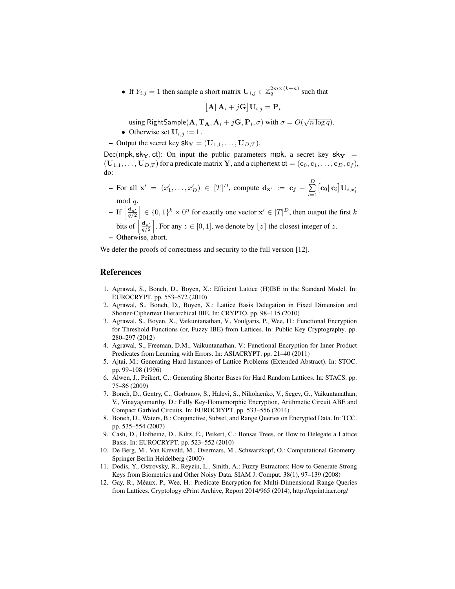• If  $Y_{i,j} = 1$  then sample a short matrix  $U_{i,j} \in \mathbb{Z}_q^{2m \times (k+n)}$  such that

$$
\big[\mathbf{A} \| \mathbf{A}_i + j\mathbf{G}\big] \mathbf{U}_{i,j} = \mathbf{P}_i
$$

using RightSample $(\mathbf{A}, \mathbf{T_A}, \mathbf{A}_i + j\mathbf{G}, \mathbf{P}_i, \sigma)$  with  $\sigma = O(\sqrt{n\log q}).$ 

• Otherwise set  $U_{i,j} := \perp$ .

– Output the secret key  $sk_{\mathbf{Y}} = (\mathbf{U}_{1,1}, \dots, \mathbf{U}_{D,T}).$ 

Dec(mpk, sk<sub>Y</sub>, ct): On input the public parameters mpk, a secret key sk<sub>Y</sub> =  $(\mathbf{U}_{1,1},\ldots,\mathbf{U}_{D,T})$  for a predicate matrix Y, and a ciphertext  $\mathsf{ct} = (\mathbf{c}_0,\mathbf{c}_1,\ldots,\mathbf{c}_D,\mathbf{c}_f)$ , do:

- For all  $\mathbf{x}' = (x'_1, \dots, x'_D) \in [T]^D$ , compute  $\mathbf{d}_{\mathbf{x}'} := \mathbf{c}_f \sum^D$  $i=1$  $\left[\mathbf{c}_0\|\mathbf{c}_i\right]\mathbf{U}_{i,x_i^\prime}$ mod q.
- $\left[-\text{If } \left|\frac{\mathbf{d}_{\mathbf{x}^{\prime}}}{q/2}\right| \in \{0,1\}^{k} \times 0^{n} \text{ for exactly one vector } \mathbf{x}^{\prime} \in [T]^{D}$ , then output the first k bits of  $\left[\frac{d_{x'}}{q/2}\right]$ . For any  $z \in [0, 1]$ , we denote by  $\lfloor z \rfloor$  the closest integer of z. – Otherwise, abort.

We defer the proofs of correctness and security to the full version [12].

# References

- 1. Agrawal, S., Boneh, D., Boyen, X.: Efficient Lattice (H)IBE in the Standard Model. In: EUROCRYPT. pp. 553–572 (2010)
- 2. Agrawal, S., Boneh, D., Boyen, X.: Lattice Basis Delegation in Fixed Dimension and Shorter-Ciphertext Hierarchical IBE. In: CRYPTO. pp. 98–115 (2010)
- 3. Agrawal, S., Boyen, X., Vaikuntanathan, V., Voulgaris, P., Wee, H.: Functional Encryption for Threshold Functions (or, Fuzzy IBE) from Lattices. In: Public Key Cryptography. pp. 280–297 (2012)
- 4. Agrawal, S., Freeman, D.M., Vaikuntanathan, V.: Functional Encryption for Inner Product Predicates from Learning with Errors. In: ASIACRYPT. pp. 21–40 (2011)
- 5. Ajtai, M.: Generating Hard Instances of Lattice Problems (Extended Abstract). In: STOC. pp. 99–108 (1996)
- 6. Alwen, J., Peikert, C.: Generating Shorter Bases for Hard Random Lattices. In: STACS. pp. 75–86 (2009)
- 7. Boneh, D., Gentry, C., Gorbunov, S., Halevi, S., Nikolaenko, V., Segev, G., Vaikuntanathan, V., Vinayagamurthy, D.: Fully Key-Homomorphic Encryption, Arithmetic Circuit ABE and Compact Garbled Circuits. In: EUROCRYPT. pp. 533–556 (2014)
- 8. Boneh, D., Waters, B.: Conjunctive, Subset, and Range Queries on Encrypted Data. In: TCC. pp. 535–554 (2007)
- 9. Cash, D., Hofheinz, D., Kiltz, E., Peikert, C.: Bonsai Trees, or How to Delegate a Lattice Basis. In: EUROCRYPT. pp. 523–552 (2010)
- 10. De Berg, M., Van Kreveld, M., Overmars, M., Schwarzkopf, O.: Computational Geometry. Springer Berlin Heidelberg (2000)
- 11. Dodis, Y., Ostrovsky, R., Reyzin, L., Smith, A.: Fuzzy Extractors: How to Generate Strong Keys from Biometrics and Other Noisy Data. SIAM J. Comput. 38(1), 97–139 (2008)
- 12. Gay, R., Meaux, P., Wee, H.: Predicate Encryption for Multi-Dimensional Range Queries ´ from Lattices. Cryptology ePrint Archive, Report 2014/965 (2014), http://eprint.iacr.org/